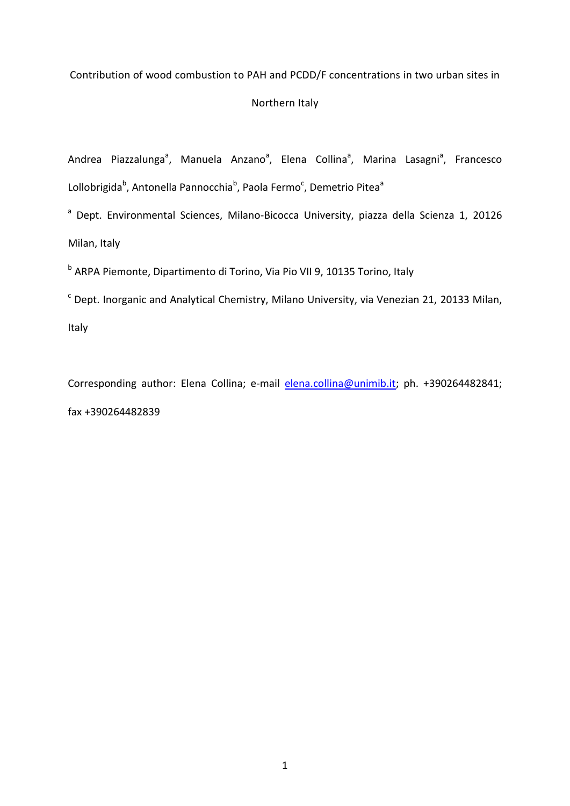## Contribution of wood combustion to PAH and PCDD/F concentrations in two urban sites in

# Northern Italy

Andrea Piazzalunga<sup>a</sup>, Manuela Anzano<sup>a</sup>, Elena Collina<sup>a</sup>, Marina Lasagni<sup>a</sup>, Francesco Lollobrigida<sup>b</sup>, Antonella Pannocchia<sup>b</sup>, Paola Fermo<sup>c</sup>, Demetrio Pitea<sup>a</sup>

<sup>a</sup> Dept. Environmental Sciences, Milano-Bicocca University, piazza della Scienza 1, 20126 Milan, Italy

<sup>b</sup> ARPA Piemonte, Dipartimento di Torino, Via Pio VII 9, 10135 Torino, Italy

 $\textdegree$  Dept. Inorganic and Analytical Chemistry, Milano University, via Venezian 21, 20133 Milan, Italy

Corresponding author: Elena Collina; e-mail [elena.collina@unimib.it;](mailto:elena.collina@unimib.it) ph. +390264482841; fax +390264482839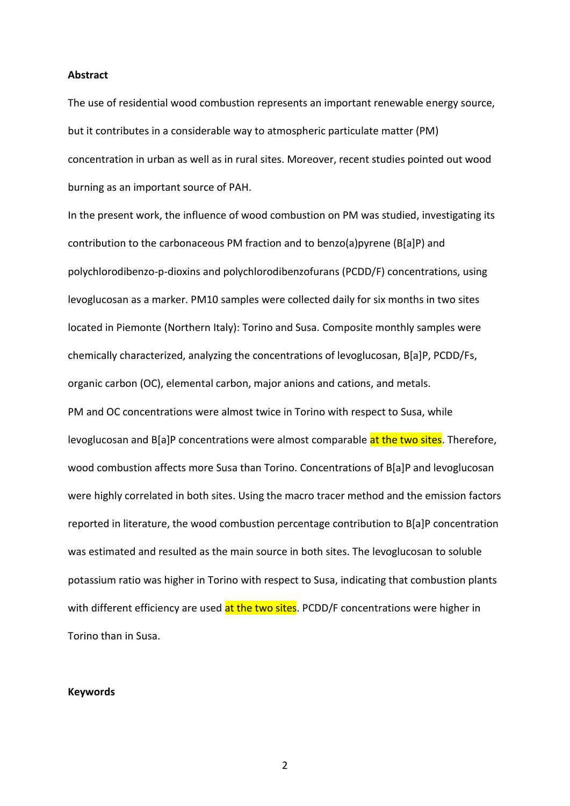#### **Abstract**

The use of residential wood combustion represents an important renewable energy source, but it contributes in a considerable way to atmospheric particulate matter (PM) concentration in urban as well as in rural sites. Moreover, recent studies pointed out wood burning as an important source of PAH.

In the present work, the influence of wood combustion on PM was studied, investigating its contribution to the carbonaceous PM fraction and to benzo(a)pyrene (B[a]P) and polychlorodibenzo-p-dioxins and polychlorodibenzofurans (PCDD/F) concentrations, using levoglucosan as a marker. PM10 samples were collected daily for six months in two sites located in Piemonte (Northern Italy): Torino and Susa. Composite monthly samples were chemically characterized, analyzing the concentrations of levoglucosan, B[a]P, PCDD/Fs, organic carbon (OC), elemental carbon, major anions and cations, and metals. PM and OC concentrations were almost twice in Torino with respect to Susa, while levoglucosan and B[a]P concentrations were almost comparable at the two sites. Therefore, wood combustion affects more Susa than Torino. Concentrations of B[a]P and levoglucosan were highly correlated in both sites. Using the macro tracer method and the emission factors reported in literature, the wood combustion percentage contribution to B[a]P concentration was estimated and resulted as the main source in both sites. The levoglucosan to soluble potassium ratio was higher in Torino with respect to Susa, indicating that combustion plants with different efficiency are used at the two sites. PCDD/F concentrations were higher in Torino than in Susa.

#### **Keywords**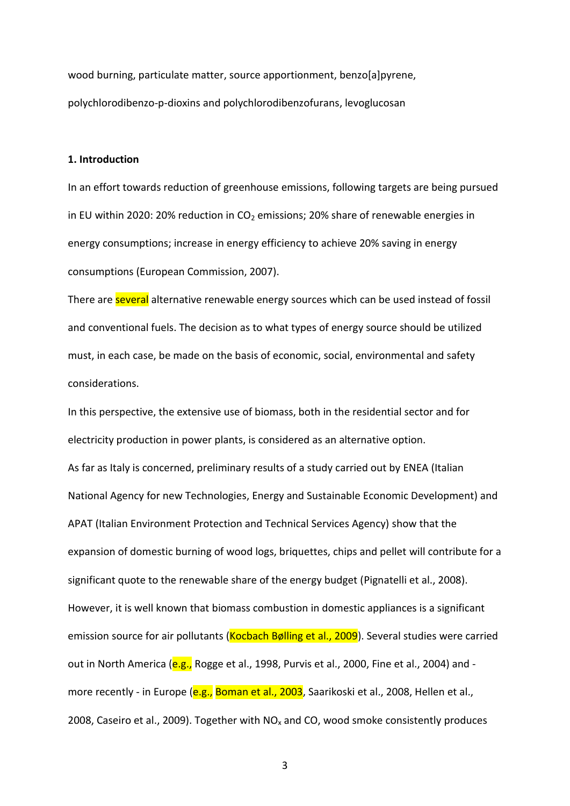wood burning, particulate matter, source apportionment, benzo[a]pyrene, polychlorodibenzo-p-dioxins and polychlorodibenzofurans, levoglucosan

#### **1. Introduction**

In an effort towards reduction of greenhouse emissions, following targets are being pursued in EU within 2020: 20% reduction in  $CO<sub>2</sub>$  emissions; 20% share of renewable energies in energy consumptions; increase in energy efficiency to achieve 20% saving in energy consumptions (European Commission, 2007).

There are several alternative renewable energy sources which can be used instead of fossil and conventional fuels. The decision as to what types of energy source should be utilized must, in each case, be made on the basis of economic, social, environmental and safety considerations.

In this perspective, the extensive use of biomass, both in the residential sector and for electricity production in power plants, is considered as an alternative option. As far as Italy is concerned, preliminary results of a study carried out by ENEA (Italian National Agency for new Technologies, Energy and Sustainable Economic Development) and APAT (Italian Environment Protection and Technical Services Agency) show that the expansion of domestic burning of wood logs, briquettes, chips and pellet will contribute for a significant quote to the renewable share of the energy budget (Pignatelli et al., 2008). However, it is well known that biomass combustion in domestic appliances is a significant emission source for air pollutants (Kocbach Bølling et al., 2009). Several studies were carried out in North America (e.g., Rogge et al., 1998, Purvis et al., 2000, Fine et al., 2004) and more recently - in Europe (e.g., Boman et al., 2003, Saarikoski et al., 2008, Hellen et al., 2008, Caseiro et al., 2009). Together with  $NO<sub>x</sub>$  and CO, wood smoke consistently produces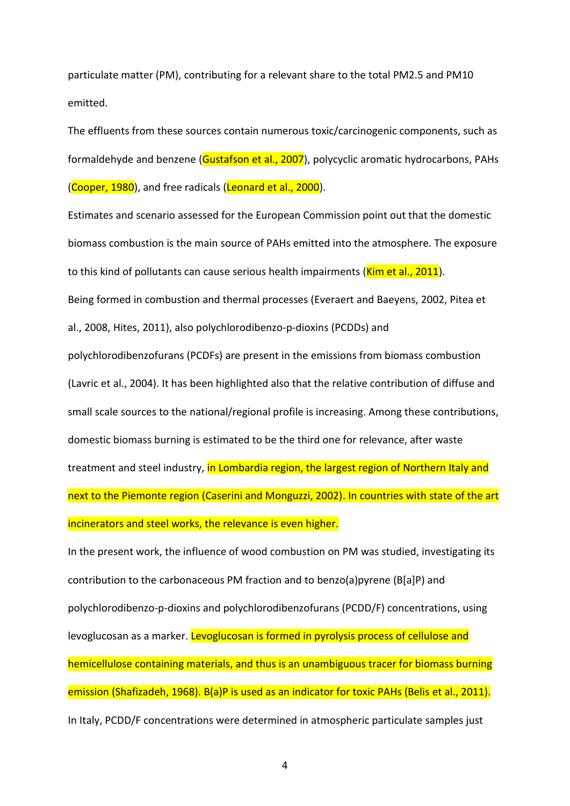particulate matter (PM), contributing for a relevant share to the total PM2.5 and PM10 emitted.

The effluents from these sources contain numerous toxic/carcinogenic components, such as formaldehyde and benzene (Gustafson et al., 2007), polycyclic aromatic hydrocarbons, PAHs (Cooper, 1980), and free radicals (Leonard et al., 2000).

Estimates and scenario assessed for the European Commission point out that the domestic biomass combustion is the main source of PAHs emitted into the atmosphere. The exposure to this kind of pollutants can cause serious health impairments (Kim et al., 2011).

Being formed in combustion and thermal processes (Everaert and Baeyens, 2002, Pitea et al., 2008, Hites, 2011), also polychlorodibenzo-p-dioxins (PCDDs) and

polychlorodibenzofurans (PCDFs) are present in the emissions from biomass combustion (Lavric et al., 2004). It has been highlighted also that the relative contribution of diffuse and small scale sources to the national/regional profile is increasing. Among these contributions, domestic biomass burning is estimated to be the third one for relevance, after waste treatment and steel industry, in Lombardia region, the largest region of Northern Italy and next to the Piemonte region (Caserini and Monguzzi, 2002). In countries with state of the art incinerators and steel works, the relevance is even higher.

In the present work, the influence of wood combustion on PM was studied, investigating its contribution to the carbonaceous PM fraction and to benzo(a)pyrene (B[a]P) and polychlorodibenzo-p-dioxins and polychlorodibenzofurans (PCDD/F) concentrations, using levoglucosan as a marker. Levoglucosan is formed in pyrolysis process of cellulose and hemicellulose containing materials, and thus is an unambiguous tracer for biomass burning emission (Shafizadeh, 1968). B(a)P is used as an indicator for toxic PAHs (Belis et al., 2011). In Italy, PCDD/F concentrations were determined in atmospheric particulate samples just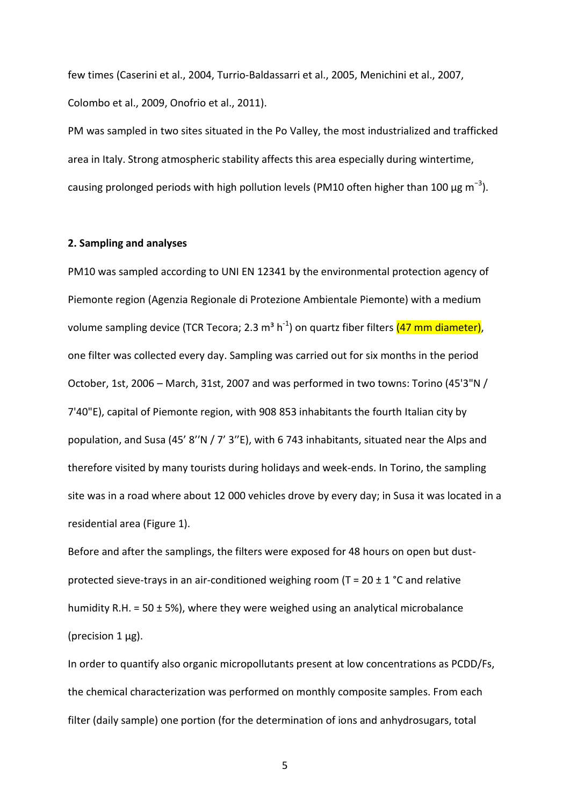few times (Caserini et al., 2004, Turrio-Baldassarri et al., 2005, Menichini et al., 2007, Colombo et al., 2009, Onofrio et al., 2011).

PM was sampled in two sites situated in the Po Valley, the most industrialized and trafficked area in Italy. Strong atmospheric stability affects this area especially during wintertime, causing prolonged periods with high pollution levels (PM10 often higher than 100  $\mu$ g m<sup>-3</sup>).

## **2. Sampling and analyses**

PM10 was sampled according to UNI EN 12341 by the environmental protection agency of Piemonte region (Agenzia Regionale di Protezione Ambientale Piemonte) with a medium volume sampling device (TCR Tecora; 2.3 m<sup>3</sup> h<sup>-1</sup>) on quartz fiber filters <mark>(47 mm diameter)</mark>, one filter was collected every day. Sampling was carried out for six months in the period October, 1st, 2006 – March, 31st, 2007 and was performed in two towns: Torino (45'3"N / 7'40"E), capital of Piemonte region, with 908 853 inhabitants the fourth Italian city by population, and Susa (45' 8'′N / 7' 3′'E), with 6 743 inhabitants, situated near the Alps and therefore visited by many tourists during holidays and week-ends. In Torino, the sampling site was in a road where about 12 000 vehicles drove by every day; in Susa it was located in a residential area (Figure 1).

Before and after the samplings, the filters were exposed for 48 hours on open but dustprotected sieve-trays in an air-conditioned weighing room ( $T = 20 \pm 1$  °C and relative humidity R.H. = 50  $\pm$  5%), where they were weighed using an analytical microbalance (precision 1 μg).

In order to quantify also organic micropollutants present at low concentrations as PCDD/Fs, the chemical characterization was performed on monthly composite samples. From each filter (daily sample) one portion (for the determination of ions and anhydrosugars, total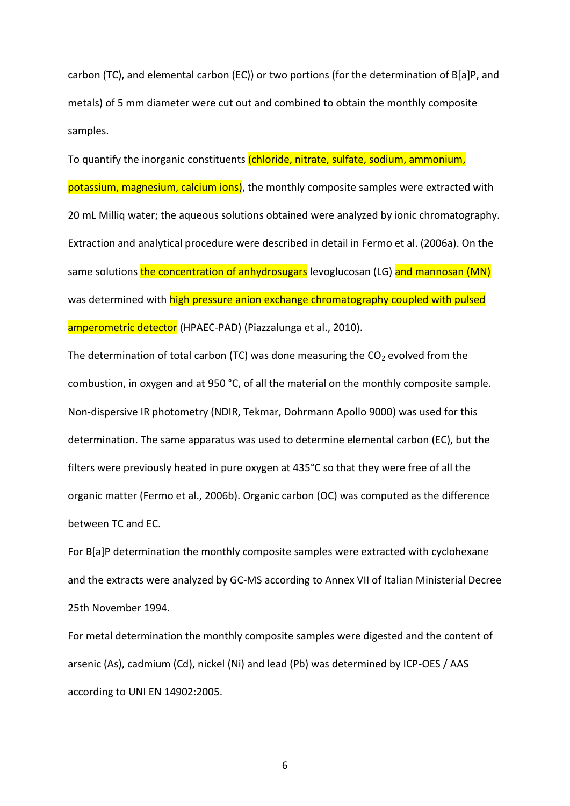carbon (TC), and elemental carbon (EC)) or two portions (for the determination of B[a]P, and metals) of 5 mm diameter were cut out and combined to obtain the monthly composite samples.

To quantify the inorganic constituents (chloride, nitrate, sulfate, sodium, ammonium, potassium, magnesium, calcium ions), the monthly composite samples were extracted with 20 mL Milliq water; the aqueous solutions obtained were analyzed by ionic chromatography. Extraction and analytical procedure were described in detail in Fermo et al. (2006a). On the same solutions the concentration of anhydrosugars levoglucosan (LG) and mannosan (MN) was determined with high pressure anion exchange chromatography coupled with pulsed amperometric detector (HPAEC-PAD) (Piazzalunga et al., 2010).

The determination of total carbon (TC) was done measuring the  $CO<sub>2</sub>$  evolved from the combustion, in oxygen and at 950 °C, of all the material on the monthly composite sample. Non-dispersive IR photometry (NDIR, Tekmar, Dohrmann Apollo 9000) was used for this determination. The same apparatus was used to determine elemental carbon (EC), but the filters were previously heated in pure oxygen at 435°C so that they were free of all the organic matter (Fermo et al., 2006b). Organic carbon (OC) was computed as the difference between TC and EC.

For B[a]P determination the monthly composite samples were extracted with cyclohexane and the extracts were analyzed by GC-MS according to Annex VII of Italian Ministerial Decree 25th November 1994.

For metal determination the monthly composite samples were digested and the content of arsenic (As), cadmium (Cd), nickel (Ni) and lead (Pb) was determined by ICP-OES / AAS according to UNI EN 14902:2005.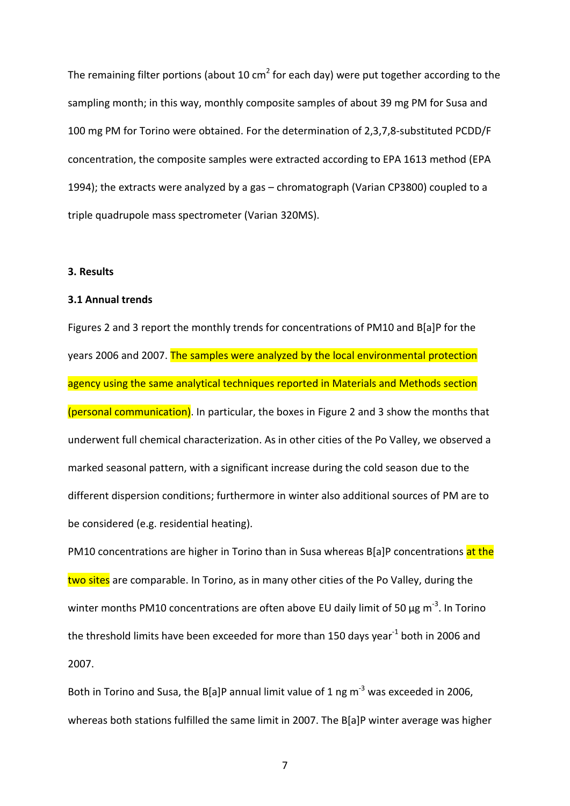The remaining filter portions (about 10 cm<sup>2</sup> for each day) were put together according to the sampling month; in this way, monthly composite samples of about 39 mg PM for Susa and 100 mg PM for Torino were obtained. For the determination of 2,3,7,8-substituted PCDD/F concentration, the composite samples were extracted according to EPA 1613 method (EPA 1994); the extracts were analyzed by a gas – chromatograph (Varian CP3800) coupled to a triple quadrupole mass spectrometer (Varian 320MS).

## **3. Results**

# **3.1 Annual trends**

Figures 2 and 3 report the monthly trends for concentrations of PM10 and B[a]P for the years 2006 and 2007. The samples were analyzed by the local environmental protection agency using the same analytical techniques reported in Materials and Methods section (personal communication). In particular, the boxes in Figure 2 and 3 show the months that underwent full chemical characterization. As in other cities of the Po Valley, we observed a marked seasonal pattern, with a significant increase during the cold season due to the different dispersion conditions; furthermore in winter also additional sources of PM are to be considered (e.g. residential heating).

PM10 concentrations are higher in Torino than in Susa whereas B[a]P concentrations at the two sites are comparable. In Torino, as in many other cities of the Po Valley, during the winter months PM10 concentrations are often above EU daily limit of 50  $\mu$ g m<sup>-3</sup>. In Torino the threshold limits have been exceeded for more than 150 days year<sup>-1</sup> both in 2006 and 2007.

Both in Torino and Susa, the B[a]P annual limit value of 1 ng m<sup>-3</sup> was exceeded in 2006, whereas both stations fulfilled the same limit in 2007. The B[a]P winter average was higher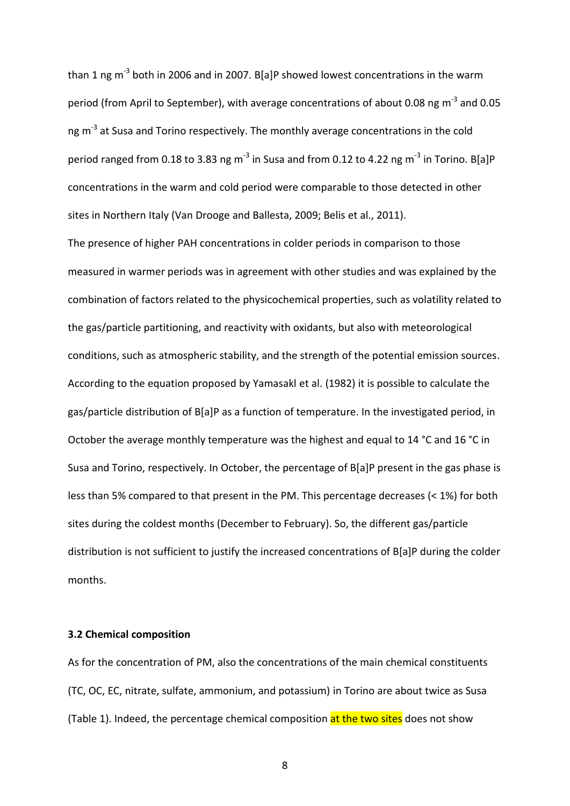than 1 ng m<sup>-3</sup> both in 2006 and in 2007. B[a]P showed lowest concentrations in the warm period (from April to September), with average concentrations of about 0.08 ng m<sup>-3</sup> and 0.05 ng m<sup>-3</sup> at Susa and Torino respectively. The monthly average concentrations in the cold period ranged from 0.18 to 3.83 ng m<sup>-3</sup> in Susa and from 0.12 to 4.22 ng m<sup>-3</sup> in Torino. B[a]P concentrations in the warm and cold period were comparable to those detected in other sites in Northern Italy (Van Drooge and Ballesta, 2009; Belis et al., 2011).

The presence of higher PAH concentrations in colder periods in comparison to those measured in warmer periods was in agreement with other studies and was explained by the combination of factors related to the physicochemical properties, such as volatility related to the gas/particle partitioning, and reactivity with oxidants, but also with meteorological conditions, such as atmospheric stability, and the strength of the potential emission sources. According to the equation proposed by Yamasakl et al. (1982) it is possible to calculate the gas/particle distribution of B[a]P as a function of temperature. In the investigated period, in October the average monthly temperature was the highest and equal to 14 °C and 16 °C in Susa and Torino, respectively. In October, the percentage of B[a]P present in the gas phase is less than 5% compared to that present in the PM. This percentage decreases (< 1%) for both sites during the coldest months (December to February). So, the different gas/particle distribution is not sufficient to justify the increased concentrations of B[a]P during the colder months.

## **3.2 Chemical composition**

As for the concentration of PM, also the concentrations of the main chemical constituents (TC, OC, EC, nitrate, sulfate, ammonium, and potassium) in Torino are about twice as Susa (Table 1). Indeed, the percentage chemical composition at the two sites does not show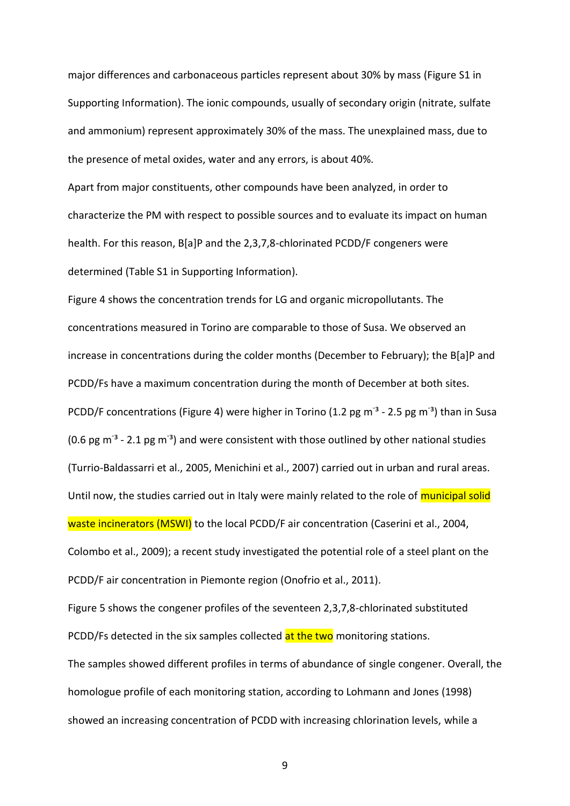major differences and carbonaceous particles represent about 30% by mass (Figure S1 in Supporting Information). The ionic compounds, usually of secondary origin (nitrate, sulfate and ammonium) represent approximately 30% of the mass. The unexplained mass, due to the presence of metal oxides, water and any errors, is about 40%.

Apart from major constituents, other compounds have been analyzed, in order to characterize the PM with respect to possible sources and to evaluate its impact on human health. For this reason, B[a]P and the 2,3,7,8-chlorinated PCDD/F congeners were determined (Table S1 in Supporting Information).

Figure 4 shows the concentration trends for LG and organic micropollutants. The concentrations measured in Torino are comparable to those of Susa. We observed an increase in concentrations during the colder months (December to February); the B[a]P and PCDD/Fs have a maximum concentration during the month of December at both sites. PCDD/F concentrations (Figure 4) were higher in Torino (1.2 pg m<sup>-3</sup> - 2.5 pg m<sup>-3</sup>) than in Susa (0.6 pg  $\text{m}^3$  - 2.1 pg  $\text{m}^3$ ) and were consistent with those outlined by other national studies (Turrio-Baldassarri et al., 2005, Menichini et al., 2007) carried out in urban and rural areas. Until now, the studies carried out in Italy were mainly related to the role of municipal solid waste incinerators (MSWI) to the local PCDD/F air concentration (Caserini et al., 2004, Colombo et al., 2009); a recent study investigated the potential role of a steel plant on the PCDD/F air concentration in Piemonte region (Onofrio et al., 2011).

Figure 5 shows the congener profiles of the seventeen 2,3,7,8-chlorinated substituted PCDD/Fs detected in the six samples collected at the two monitoring stations.

The samples showed different profiles in terms of abundance of single congener. Overall, the homologue profile of each monitoring station, according to Lohmann and Jones (1998) showed an increasing concentration of PCDD with increasing chlorination levels, while a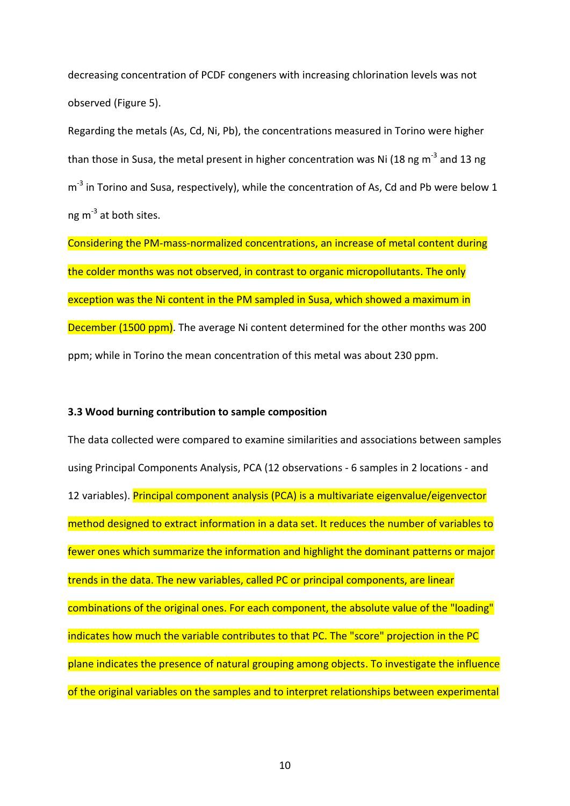decreasing concentration of PCDF congeners with increasing chlorination levels was not observed (Figure 5).

Regarding the metals (As, Cd, Ni, Pb), the concentrations measured in Torino were higher than those in Susa, the metal present in higher concentration was Ni (18 ng m<sup>-3</sup> and 13 ng m<sup>-3</sup> in Torino and Susa, respectively), while the concentration of As, Cd and Pb were below 1 ng m<sup>-3</sup> at both sites.

Considering the PM-mass-normalized concentrations, an increase of metal content during the colder months was not observed, in contrast to organic micropollutants. The only exception was the Ni content in the PM sampled in Susa, which showed a maximum in **December (1500 ppm)**. The average Ni content determined for the other months was 200 ppm; while in Torino the mean concentration of this metal was about 230 ppm.

#### **3.3 Wood burning contribution to sample composition**

The data collected were compared to examine similarities and associations between samples using Principal Components Analysis, PCA (12 observations - 6 samples in 2 locations - and 12 variables). Principal component analysis (PCA) is a multivariate eigenvalue/eigenvector method designed to extract information in a data set. It reduces the number of variables to fewer ones which summarize the information and highlight the dominant patterns or major trends in the data. The new variables, called PC or principal components, are linear combinations of the original ones. For each component, the absolute value of the "loading" indicates how much the variable contributes to that PC. The "score" projection in the PC plane indicates the presence of natural grouping among objects. To investigate the influence of the original variables on the samples and to interpret relationships between experimental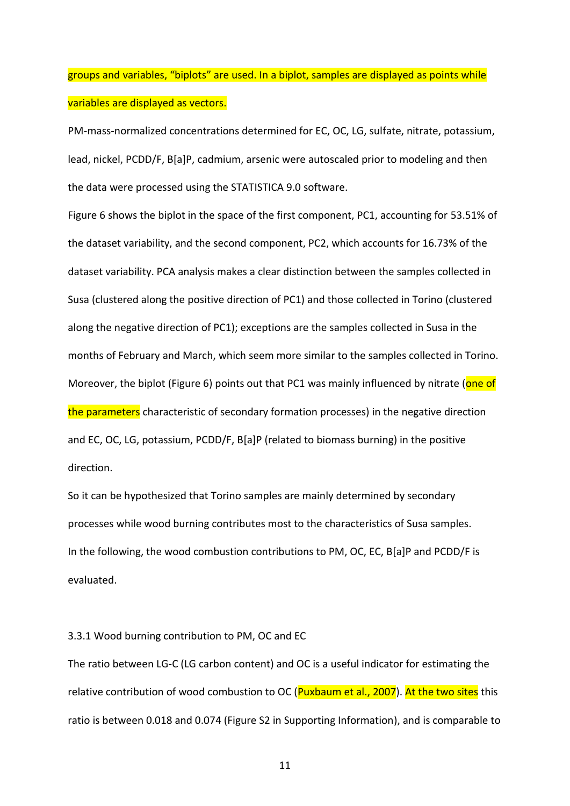groups and variables, "biplots" are used. In a biplot, samples are displayed as points while variables are displayed as vectors.

PM-mass-normalized concentrations determined for EC, OC, LG, sulfate, nitrate, potassium, lead, nickel, PCDD/F, B[a]P, cadmium, arsenic were autoscaled prior to modeling and then the data were processed using the STATISTICA 9.0 software.

Figure 6 shows the biplot in the space of the first component, PC1, accounting for 53.51% of the dataset variability, and the second component, PC2, which accounts for 16.73% of the dataset variability. PCA analysis makes a clear distinction between the samples collected in Susa (clustered along the positive direction of PC1) and those collected in Torino (clustered along the negative direction of PC1); exceptions are the samples collected in Susa in the months of February and March, which seem more similar to the samples collected in Torino. Moreover, the biplot (Figure 6) points out that PC1 was mainly influenced by nitrate (one of the parameters characteristic of secondary formation processes) in the negative direction and EC, OC, LG, potassium, PCDD/F, B[a]P (related to biomass burning) in the positive direction.

So it can be hypothesized that Torino samples are mainly determined by secondary processes while wood burning contributes most to the characteristics of Susa samples. In the following, the wood combustion contributions to PM, OC, EC, B[a]P and PCDD/F is evaluated.

#### 3.3.1 Wood burning contribution to PM, OC and EC

The ratio between LG-C (LG carbon content) and OC is a useful indicator for estimating the relative contribution of wood combustion to OC (Puxbaum et al., 2007). At the two sites this ratio is between 0.018 and 0.074 (Figure S2 in Supporting Information), and is comparable to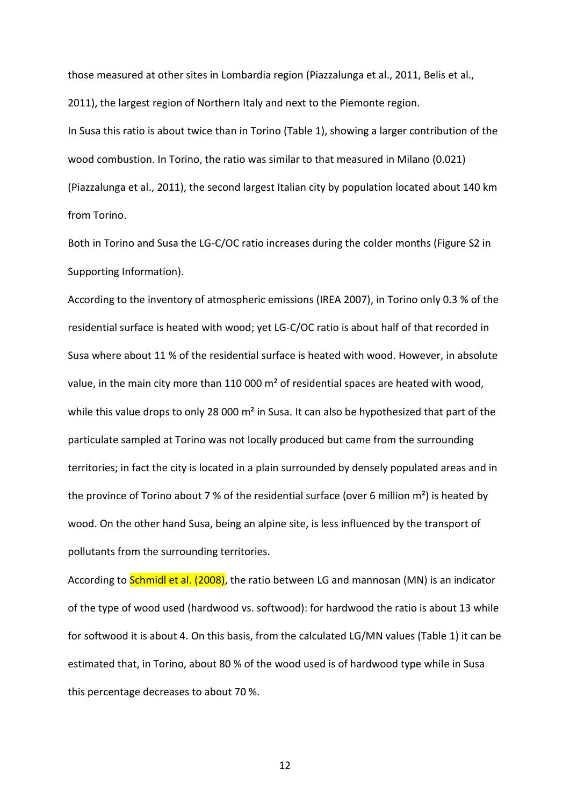those measured at other sites in Lombardia region (Piazzalunga et al., 2011, Belis et al., 2011), the largest region of Northern Italy and next to the Piemonte region.

In Susa this ratio is about twice than in Torino (Table 1), showing a larger contribution of the wood combustion. In Torino, the ratio was similar to that measured in Milano (0.021) (Piazzalunga et al., 2011), the second largest Italian city by population located about 140 km from Torino.

Both in Torino and Susa the LG-C/OC ratio increases during the colder months (Figure S2 in Supporting Information).

According to the inventory of atmospheric emissions (IREA 2007), in Torino only 0.3 % of the residential surface is heated with wood; yet LG-C/OC ratio is about half of that recorded in Susa where about 11 % of the residential surface is heated with wood. However, in absolute value, in the main city more than 110 000  $\text{m}^2$  of residential spaces are heated with wood, while this value drops to only 28 000  $m<sup>2</sup>$  in Susa. It can also be hypothesized that part of the particulate sampled at Torino was not locally produced but came from the surrounding territories; in fact the city is located in a plain surrounded by densely populated areas and in the province of Torino about 7 % of the residential surface (over 6 million  $m<sup>2</sup>$ ) is heated by wood. On the other hand Susa, being an alpine site, is less influenced by the transport of pollutants from the surrounding territories.

According to **Schmidl et al. (2008)**, the ratio between LG and mannosan (MN) is an indicator of the type of wood used (hardwood vs. softwood): for hardwood the ratio is about 13 while for softwood it is about 4. On this basis, from the calculated LG/MN values (Table 1) it can be estimated that, in Torino, about 80 % of the wood used is of hardwood type while in Susa this percentage decreases to about 70 %.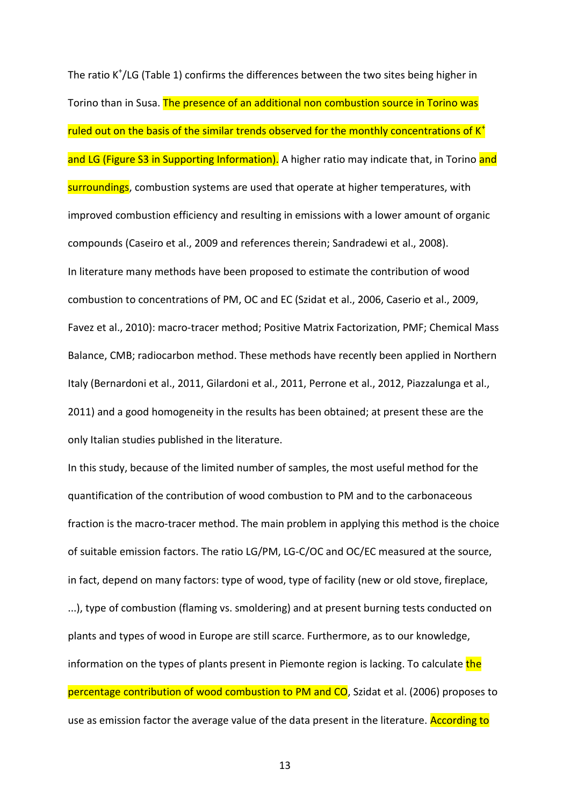The ratio K<sup>+</sup>/LG (Table 1) confirms the differences between the two sites being higher in Torino than in Susa. The presence of an additional non combustion source in Torino was ruled out on the basis of the similar trends observed for the monthly concentrations of  $K^+$ and LG (Figure S3 in Supporting Information). A higher ratio may indicate that, in Torino and surroundings, combustion systems are used that operate at higher temperatures, with improved combustion efficiency and resulting in emissions with a lower amount of organic compounds (Caseiro et al., 2009 and references therein; Sandradewi et al., 2008). In literature many methods have been proposed to estimate the contribution of wood combustion to concentrations of PM, OC and EC (Szidat et al., 2006, Caserio et al., 2009, Favez et al., 2010): macro-tracer method; Positive Matrix Factorization, PMF; Chemical Mass Balance, CMB; radiocarbon method. These methods have recently been applied in Northern Italy (Bernardoni et al., 2011, Gilardoni et al., 2011, Perrone et al., 2012, Piazzalunga et al., 2011) and a good homogeneity in the results has been obtained; at present these are the only Italian studies published in the literature.

In this study, because of the limited number of samples, the most useful method for the quantification of the contribution of wood combustion to PM and to the carbonaceous fraction is the macro-tracer method. The main problem in applying this method is the choice of suitable emission factors. The ratio LG/PM, LG-C/OC and OC/EC measured at the source, in fact, depend on many factors: type of wood, type of facility (new or old stove, fireplace, ...), type of combustion (flaming vs. smoldering) and at present burning tests conducted on plants and types of wood in Europe are still scarce. Furthermore, as to our knowledge, information on the types of plants present in Piemonte region is lacking. To calculate the percentage contribution of wood combustion to PM and CO, Szidat et al. (2006) proposes to use as emission factor the average value of the data present in the literature. According to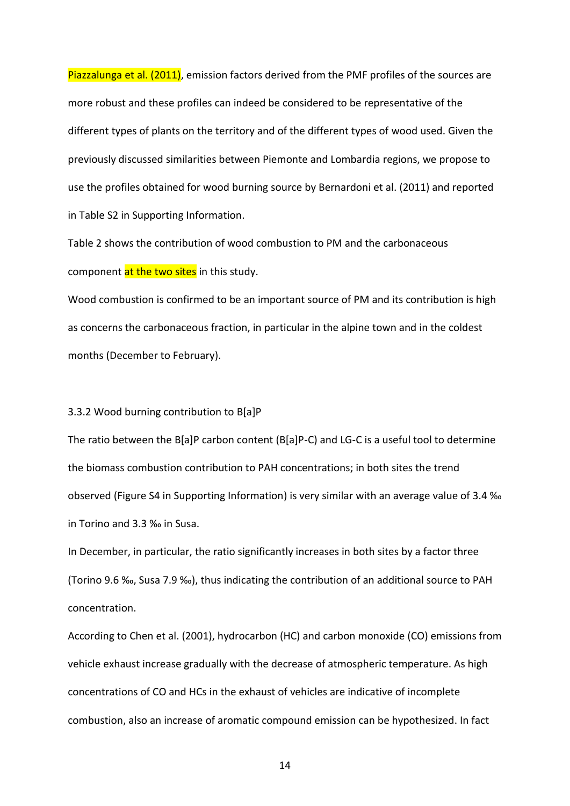Piazzalunga et al. (2011), emission factors derived from the PMF profiles of the sources are more robust and these profiles can indeed be considered to be representative of the different types of plants on the territory and of the different types of wood used. Given the previously discussed similarities between Piemonte and Lombardia regions, we propose to use the profiles obtained for wood burning source by Bernardoni et al. (2011) and reported in Table S2 in Supporting Information.

Table 2 shows the contribution of wood combustion to PM and the carbonaceous component at the two sites in this study.

Wood combustion is confirmed to be an important source of PM and its contribution is high as concerns the carbonaceous fraction, in particular in the alpine town and in the coldest months (December to February).

#### 3.3.2 Wood burning contribution to B[a]P

The ratio between the B[a]P carbon content (B[a]P-C) and LG-C is a useful tool to determine the biomass combustion contribution to PAH concentrations; in both sites the trend observed (Figure S4 in Supporting Information) is very similar with an average value of 3.4 ‰ in Torino and 3.3 ‰ in Susa.

In December, in particular, the ratio significantly increases in both sites by a factor three (Torino 9.6 ‰, Susa 7.9 ‰), thus indicating the contribution of an additional source to PAH concentration.

According to Chen et al. (2001), hydrocarbon (HC) and carbon monoxide (CO) emissions from vehicle exhaust increase gradually with the decrease of atmospheric temperature. As high concentrations of CO and HCs in the exhaust of vehicles are indicative of incomplete combustion, also an increase of aromatic compound emission can be hypothesized. In fact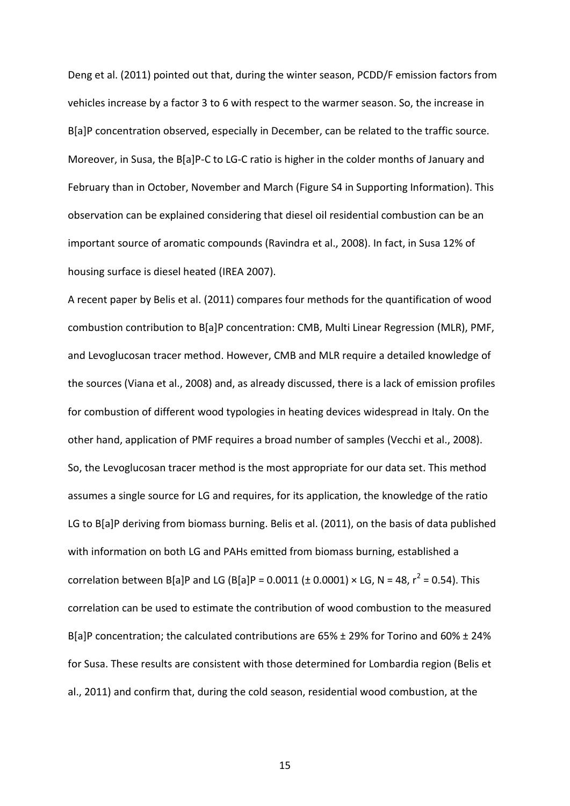Deng et al. (2011) pointed out that, during the winter season, PCDD/F emission factors from vehicles increase by a factor 3 to 6 with respect to the warmer season. So, the increase in B[a]P concentration observed, especially in December, can be related to the traffic source. Moreover, in Susa, the B[a]P-C to LG-C ratio is higher in the colder months of January and February than in October, November and March (Figure S4 in Supporting Information). This observation can be explained considering that diesel oil residential combustion can be an important source of aromatic compounds (Ravindra et al., 2008). In fact, in Susa 12% of housing surface is diesel heated (IREA 2007).

A recent paper by Belis et al. (2011) compares four methods for the quantification of wood combustion contribution to B[a]P concentration: CMB, Multi Linear Regression (MLR), PMF, and Levoglucosan tracer method. However, CMB and MLR require a detailed knowledge of the sources (Viana et al., 2008) and, as already discussed, there is a lack of emission profiles for combustion of different wood typologies in heating devices widespread in Italy. On the other hand, application of PMF requires a broad number of samples (Vecchi et al., 2008). So, the Levoglucosan tracer method is the most appropriate for our data set. This method assumes a single source for LG and requires, for its application, the knowledge of the ratio LG to B[a]P deriving from biomass burning. Belis et al. (2011), on the basis of data published with information on both LG and PAHs emitted from biomass burning, established a correlation between B[a]P and LG (B[a]P = 0.0011 ( $\pm$  0.0001) × LG, N = 48, r<sup>2</sup> = 0.54). This correlation can be used to estimate the contribution of wood combustion to the measured B[a]P concentration; the calculated contributions are 65% ± 29% for Torino and 60% ± 24% for Susa. These results are consistent with those determined for Lombardia region (Belis et al., 2011) and confirm that, during the cold season, residential wood combustion, at the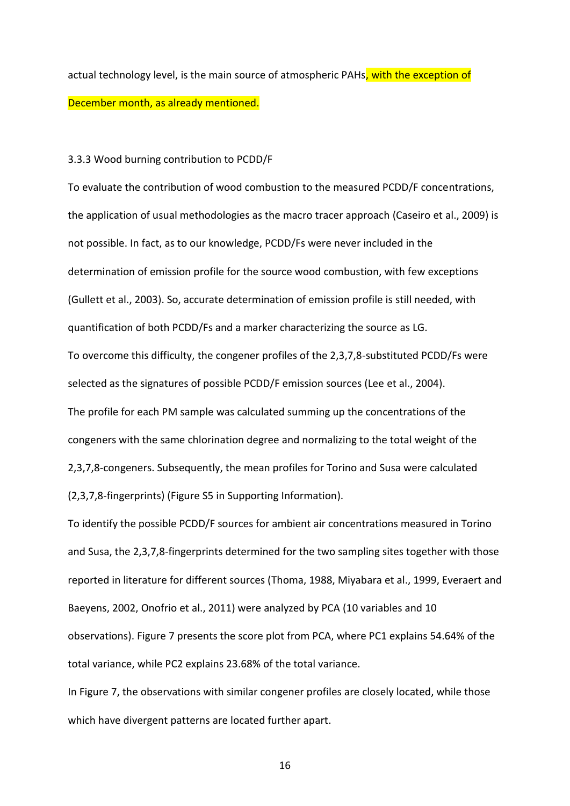actual technology level, is the main source of atmospheric PAHs, with the exception of December month, as already mentioned.

#### 3.3.3 Wood burning contribution to PCDD/F

To evaluate the contribution of wood combustion to the measured PCDD/F concentrations, the application of usual methodologies as the macro tracer approach (Caseiro et al., 2009) is not possible. In fact, as to our knowledge, PCDD/Fs were never included in the determination of emission profile for the source wood combustion, with few exceptions (Gullett et al., 2003). So, accurate determination of emission profile is still needed, with quantification of both PCDD/Fs and a marker characterizing the source as LG. To overcome this difficulty, the congener profiles of the 2,3,7,8-substituted PCDD/Fs were selected as the signatures of possible PCDD/F emission sources (Lee et al., 2004). The profile for each PM sample was calculated summing up the concentrations of the congeners with the same chlorination degree and normalizing to the total weight of the 2,3,7,8-congeners. Subsequently, the mean profiles for Torino and Susa were calculated

(2,3,7,8-fingerprints) (Figure S5 in Supporting Information).

To identify the possible PCDD/F sources for ambient air concentrations measured in Torino and Susa, the 2,3,7,8-fingerprints determined for the two sampling sites together with those reported in literature for different sources (Thoma, 1988, Miyabara et al., 1999, Everaert and Baeyens, 2002, Onofrio et al., 2011) were analyzed by PCA (10 variables and 10 observations). Figure 7 presents the score plot from PCA, where PC1 explains 54.64% of the total variance, while PC2 explains 23.68% of the total variance.

In Figure 7, the observations with similar congener profiles are closely located, while those which have divergent patterns are located further apart.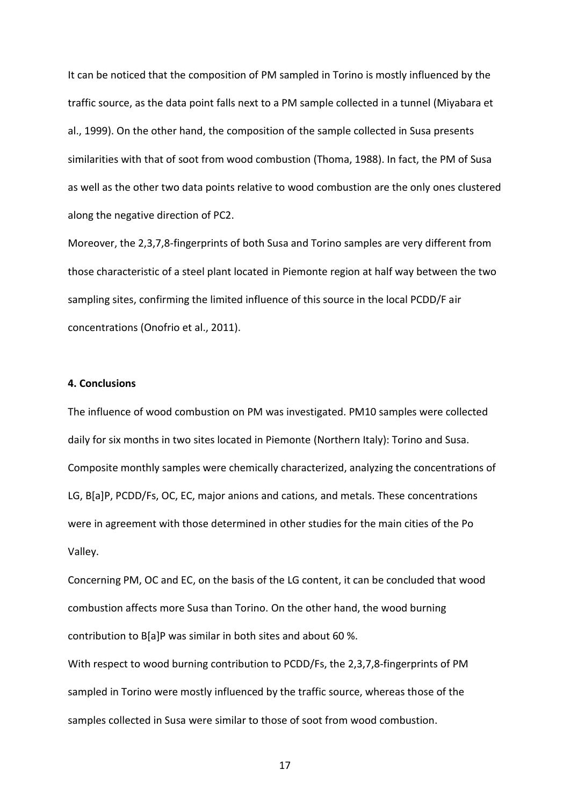It can be noticed that the composition of PM sampled in Torino is mostly influenced by the traffic source, as the data point falls next to a PM sample collected in a tunnel (Miyabara et al., 1999). On the other hand, the composition of the sample collected in Susa presents similarities with that of soot from wood combustion (Thoma, 1988). In fact, the PM of Susa as well as the other two data points relative to wood combustion are the only ones clustered along the negative direction of PC2.

Moreover, the 2,3,7,8-fingerprints of both Susa and Torino samples are very different from those characteristic of a steel plant located in Piemonte region at half way between the two sampling sites, confirming the limited influence of this source in the local PCDD/F air concentrations (Onofrio et al., 2011).

## **4. Conclusions**

The influence of wood combustion on PM was investigated. PM10 samples were collected daily for six months in two sites located in Piemonte (Northern Italy): Torino and Susa. Composite monthly samples were chemically characterized, analyzing the concentrations of LG, B[a]P, PCDD/Fs, OC, EC, major anions and cations, and metals. These concentrations were in agreement with those determined in other studies for the main cities of the Po Valley.

Concerning PM, OC and EC, on the basis of the LG content, it can be concluded that wood combustion affects more Susa than Torino. On the other hand, the wood burning contribution to B[a]P was similar in both sites and about 60 %.

With respect to wood burning contribution to PCDD/Fs, the 2,3,7,8-fingerprints of PM sampled in Torino were mostly influenced by the traffic source, whereas those of the samples collected in Susa were similar to those of soot from wood combustion.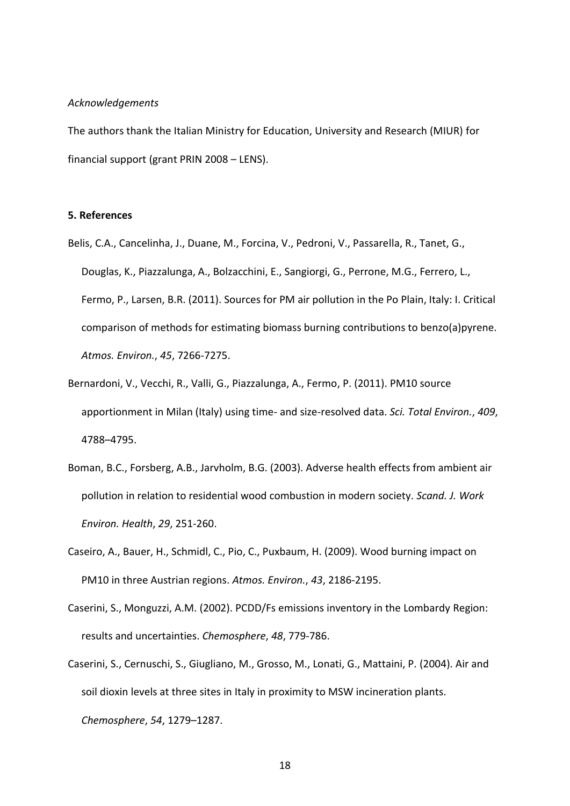## *Acknowledgements*

The authors thank the Italian Ministry for Education, University and Research (MIUR) for financial support (grant PRIN 2008 – LENS).

## **5. References**

- Belis, C.A., Cancelinha, J., Duane, M., Forcina, V., Pedroni, V., Passarella, R., Tanet, G., Douglas, K., Piazzalunga, A., Bolzacchini, E., Sangiorgi, G., Perrone, M.G., Ferrero, L., Fermo, P., Larsen, B.R. (2011). Sources for PM air pollution in the Po Plain, Italy: I. Critical comparison of methods for estimating biomass burning contributions to benzo(a)pyrene. *Atmos. Environ.*, *45*, 7266-7275.
- Bernardoni, V., Vecchi, R., Valli, G., Piazzalunga, A., Fermo, P. (2011). PM10 source apportionment in Milan (Italy) using time- and size-resolved data. *Sci. Total Environ.*, *409*, 4788–4795.
- Boman, B.C., Forsberg, A.B., Jarvholm, B.G. (2003). Adverse health effects from ambient air pollution in relation to residential wood combustion in modern society. *Scand. J. Work Environ. Health*, *29*, 251-260.
- Caseiro, A., Bauer, H., Schmidl, C., Pio, C., Puxbaum, H. (2009). Wood burning impact on PM10 in three Austrian regions. *Atmos. Environ.*, *43*, 2186-2195.
- Caserini, S., Monguzzi, A.M. (2002). PCDD/Fs emissions inventory in the Lombardy Region: results and uncertainties. *Chemosphere*, *48*, 779-786.
- Caserini, S., Cernuschi, S., Giugliano, M., Grosso, M., Lonati, G., Mattaini, P. (2004). Air and soil dioxin levels at three sites in Italy in proximity to MSW incineration plants. *Chemosphere*, *54*, 1279–1287.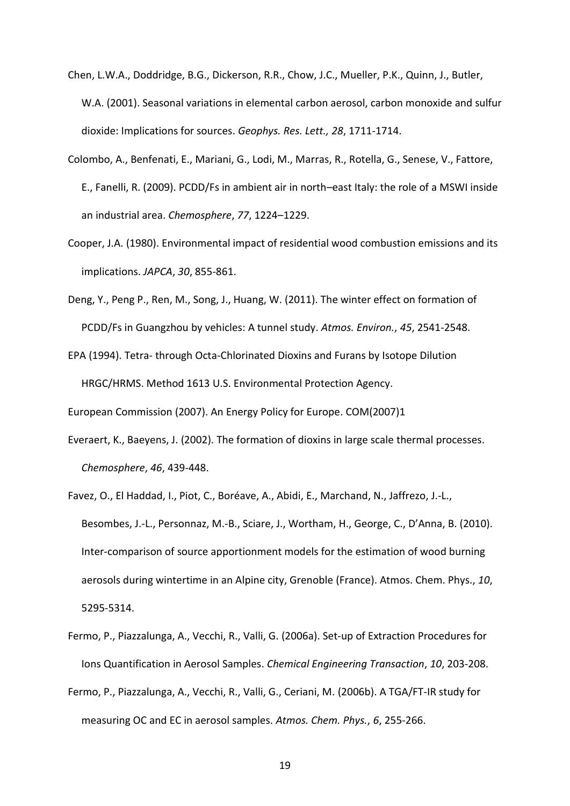- Chen, L.W.A., Doddridge, B.G., Dickerson, R.R., Chow, J.C., Mueller, P.K., Quinn, J., Butler, W.A. (2001). Seasonal variations in elemental carbon aerosol, carbon monoxide and sulfur dioxide: Implications for sources. *Geophys. Res. Lett., 28*, 1711-1714.
- Colombo, A., Benfenati, E., Mariani, G., Lodi, M., Marras, R., Rotella, G., Senese, V., Fattore, E., Fanelli, R. (2009). PCDD/Fs in ambient air in north–east Italy: the role of a MSWI inside an industrial area. *Chemosphere*, *77*, 1224–1229.
- Cooper, J.A. (1980). Environmental impact of residential wood combustion emissions and its implications. *JAPCA*, *30*, 855-861.
- Deng, Y., Peng P., Ren, M., Song, J., Huang, W. (2011). The winter effect on formation of PCDD/Fs in Guangzhou by vehicles: A tunnel study. *Atmos. Environ.*, *45*, 2541-2548.
- EPA (1994). Tetra- through Octa-Chlorinated Dioxins and Furans by Isotope Dilution HRGC/HRMS. Method 1613 U.S. Environmental Protection Agency.

European Commission (2007). An Energy Policy for Europe. COM(2007)1

- Everaert, K., Baeyens, J. (2002). The formation of dioxins in large scale thermal processes. *Chemosphere*, *46*, 439-448.
- Favez, O., El Haddad, I., Piot, C., Boréave, A., Abidi, E., Marchand, N., Jaffrezo, J.-L., Besombes, J.-L., Personnaz, M.-B., Sciare, J., Wortham, H., George, C., D'Anna, B. (2010). Inter-comparison of source apportionment models for the estimation of wood burning aerosols during wintertime in an Alpine city, Grenoble (France). Atmos. Chem. Phys., *10*, 5295-5314.
- Fermo, P., Piazzalunga, A., Vecchi, R., Valli, G. (2006a). Set-up of Extraction Procedures for Ions Quantification in Aerosol Samples. *Chemical Engineering Transaction*, *10*, 203-208.
- Fermo, P., Piazzalunga, A., Vecchi, R., Valli, G., Ceriani, M. (2006b). A TGA/FT-IR study for measuring OC and EC in aerosol samples. *Atmos. Chem. Phys.*, *6*, 255-266.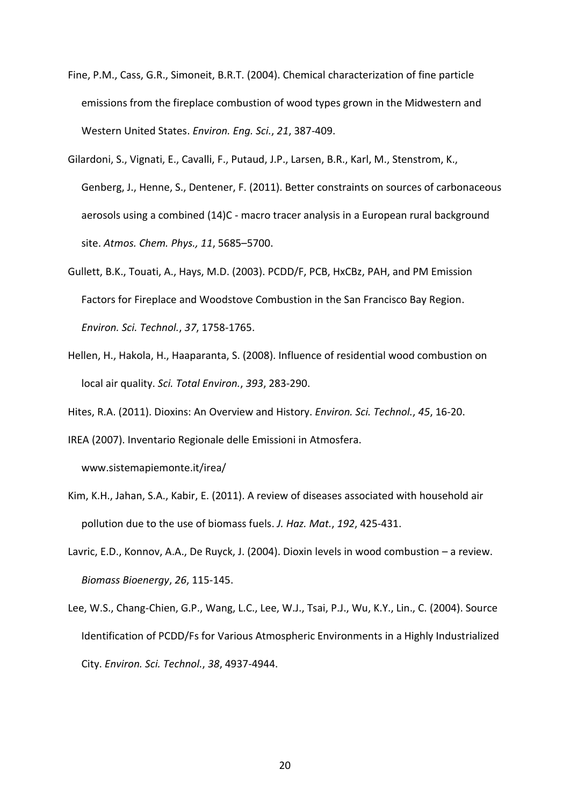- Fine, P.M., Cass, G.R., Simoneit, B.R.T. (2004). Chemical characterization of fine particle emissions from the fireplace combustion of wood types grown in the Midwestern and Western United States. *Environ. Eng. Sci.*, *21*, 387-409.
- Gilardoni, S., Vignati, E., Cavalli, F., Putaud, J.P., Larsen, B.R., Karl, M., Stenstrom, K., Genberg, J., Henne, S., Dentener, F. (2011). Better constraints on sources of carbonaceous aerosols using a combined (14)C - macro tracer analysis in a European rural background site. *Atmos. Chem. Phys., 11*, 5685–5700.
- Gullett, B.K., Touati, A., Hays, M.D. (2003). PCDD/F, PCB, HxCBz, PAH, and PM Emission Factors for Fireplace and Woodstove Combustion in the San Francisco Bay Region. *Environ. Sci. Technol.*, *37*, 1758-1765.
- Hellen, H., Hakola, H., Haaparanta, S. (2008). Influence of residential wood combustion on local air quality. *Sci. Total Environ.*, *393*, 283-290.

Hites, R.A. (2011). Dioxins: An Overview and History. *Environ. Sci. Technol.*, *45*, 16-20.

IREA (2007). Inventario Regionale delle Emissioni in Atmosfera.

www.sistemapiemonte.it/irea/

- Kim, K.H., Jahan, S.A., Kabir, E. (2011). A review of diseases associated with household air pollution due to the use of biomass fuels. *J. Haz. Mat.*, *192*, 425-431.
- Lavric, E.D., Konnov, A.A., De Ruyck, J. (2004). Dioxin levels in wood combustion a review. *Biomass Bioenergy*, *26*, 115-145.
- Lee, W.S., Chang-Chien, G.P., Wang, L.C., Lee, W.J., Tsai, P.J., Wu, K.Y., Lin., C. (2004). Source Identification of PCDD/Fs for Various Atmospheric Environments in a Highly Industrialized City. *Environ. Sci. Technol.*, *38*, 4937-4944.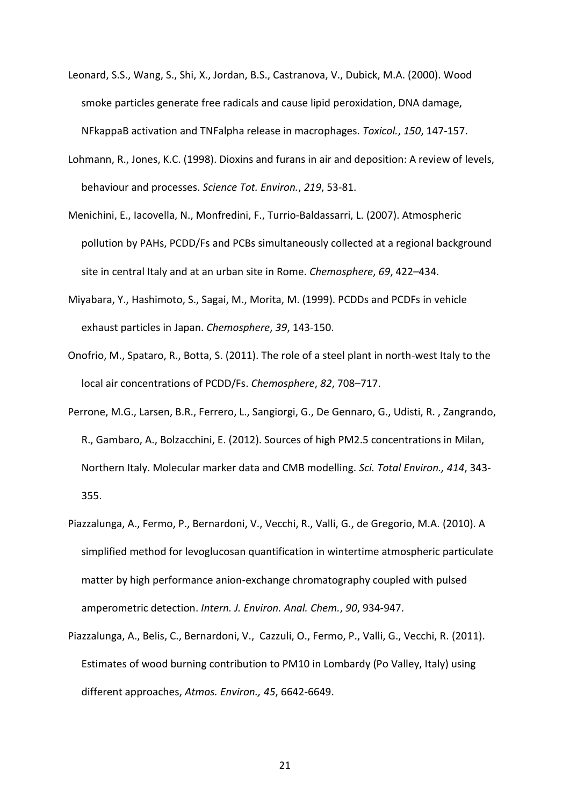- Leonard, S.S., Wang, S., Shi, X., Jordan, B.S., Castranova, V., Dubick, M.A. (2000). Wood smoke particles generate free radicals and cause lipid peroxidation, DNA damage, NFkappaB activation and TNFalpha release in macrophages. *Toxicol.*, *150*, 147-157.
- Lohmann, R., Jones, K.C. (1998). Dioxins and furans in air and deposition: A review of levels, behaviour and processes. *Science Tot. Environ.*, *219*, 53-81.
- Menichini, E., Iacovella, N., Monfredini, F., Turrio-Baldassarri, L. (2007). Atmospheric pollution by PAHs, PCDD/Fs and PCBs simultaneously collected at a regional background site in central Italy and at an urban site in Rome. *Chemosphere*, *69*, 422–434.
- Miyabara, Y., Hashimoto, S., Sagai, M., Morita, M. (1999). PCDDs and PCDFs in vehicle exhaust particles in Japan. *Chemosphere*, *39*, 143-150.
- Onofrio, M., Spataro, R., Botta, S. (2011). The role of a steel plant in north-west Italy to the local air concentrations of PCDD/Fs. *Chemosphere*, *82*, 708–717.
- Perrone, M.G., Larsen, B.R., Ferrero, L., Sangiorgi, G., De Gennaro, G., Udisti, R. , Zangrando, R., Gambaro, A., Bolzacchini, E. (2012). Sources of high PM2.5 concentrations in Milan, Northern Italy. Molecular marker data and CMB modelling. *Sci. Total Environ., 414*, 343- 355.
- Piazzalunga, A., Fermo, P., Bernardoni, V., Vecchi, R., Valli, G., de Gregorio, M.A. (2010). A simplified method for levoglucosan quantification in wintertime atmospheric particulate matter by high performance anion-exchange chromatography coupled with pulsed amperometric detection. *Intern. J. Environ. Anal. Chem.*, *90*, 934-947.
- Piazzalunga, A., Belis, C., Bernardoni, V., Cazzuli, O., Fermo, P., Valli, G., Vecchi, R. (2011). Estimates of wood burning contribution to PM10 in Lombardy (Po Valley, Italy) using different approaches, *Atmos. Environ., 45*, 6642-6649.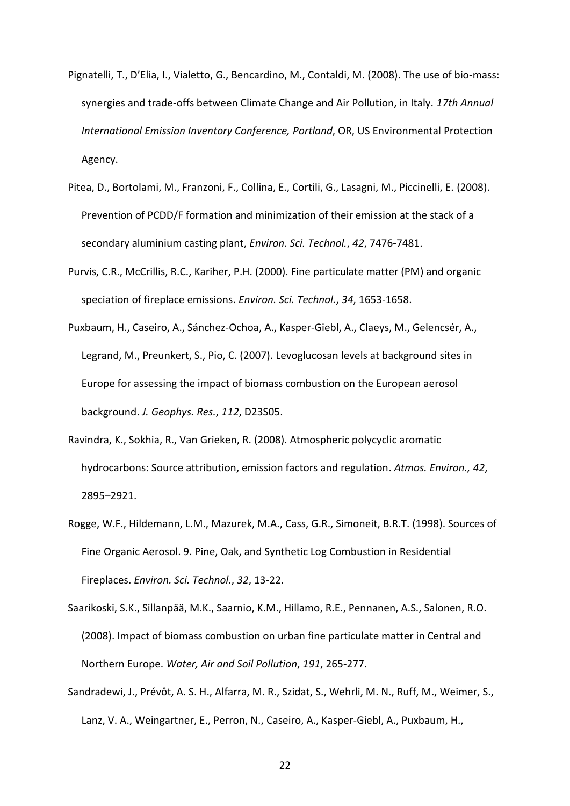- Pignatelli, T., D'Elia, I., Vialetto, G., Bencardino, M., Contaldi, M. (2008). The use of bio-mass: synergies and trade-offs between Climate Change and Air Pollution, in Italy. *17th Annual International Emission Inventory Conference, Portland*, OR, US Environmental Protection Agency.
- Pitea, D., Bortolami, M., Franzoni, F., Collina, E., Cortili, G., Lasagni, M., Piccinelli, E. (2008). Prevention of PCDD/F formation and minimization of their emission at the stack of a secondary aluminium casting plant, *Environ. Sci. Technol.*, *42*, 7476-7481.
- Purvis, C.R., McCrillis, R.C., Kariher, P.H. (2000). Fine particulate matter (PM) and organic speciation of fireplace emissions. *Environ. Sci. Technol.*, *34*, 1653-1658.
- Puxbaum, H., Caseiro, A., Sánchez‐Ochoa, A., Kasper‐Giebl, A., Claeys, M., Gelencsér, A., Legrand, M., Preunkert, S., Pio, C. (2007). [Levoglucosan levels at background sites in](http://dx.doi.org/10.1029/2006JD008114)  [Europe for assessing the impact of biomass combustion on the European aerosol](http://dx.doi.org/10.1029/2006JD008114)  [background.](http://dx.doi.org/10.1029/2006JD008114) *J. Geophys. Res.*, *112*, D23S05.
- Ravindra, K., Sokhia, R., Van Grieken, R. (2008). Atmospheric polycyclic aromatic hydrocarbons: Source attribution, emission factors and regulation. *Atmos. Environ., 42*, 2895–2921.
- Rogge, W.F., Hildemann, L.M., Mazurek, M.A., Cass, G.R., Simoneit, B.R.T. (1998). Sources of Fine Organic Aerosol. 9. Pine, Oak, and Synthetic Log Combustion in Residential Fireplaces. *Environ. Sci. Technol.*, *32*, 13-22.
- Saarikoski, S.K., Sillanpää, M.K., Saarnio, K.M., Hillamo, R.E., Pennanen, A.S., Salonen, R.O. (2008). Impact of biomass combustion on urban fine particulate matter in Central and Northern Europe. *Water, Air and Soil Pollution*, *191*, 265-277.
- Sandradewi, J., Prévôt, A. S. H., Alfarra, M. R., Szidat, S., Wehrli, M. N., Ruff, M., Weimer, S., Lanz, V. A., Weingartner, E., Perron, N., Caseiro, A., Kasper-Giebl, A., Puxbaum, H.,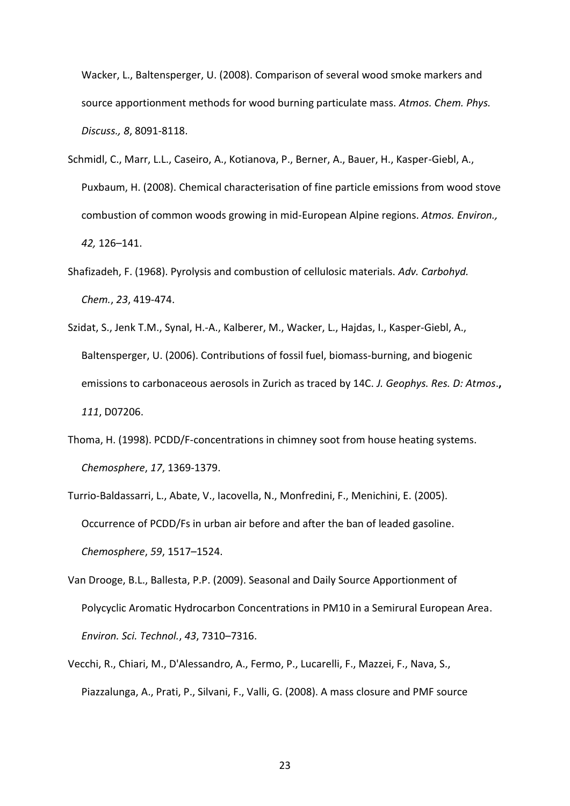Wacker, L., Baltensperger, U. (2008). Comparison of several wood smoke markers and source apportionment methods for wood burning particulate mass. *Atmos. Chem. Phys. Discuss., 8*, 8091-8118.

- Schmidl, C., Marr, L.L., Caseiro, A., Kotianova, P., Berner, A., Bauer, H., Kasper-Giebl, A., Puxbaum, H. (2008). Chemical characterisation of fine particle emissions from wood stove combustion of common woods growing in mid-European Alpine regions. *Atmos. Environ., 42,* 126–141.
- Shafizadeh, F. (1968). Pyrolysis and combustion of cellulosic materials. *Adv. Carbohyd. Chem.*, *23*, 419-474.
- Szidat, S., Jenk T.M., Synal, H.-A., Kalberer, M., Wacker, L., Hajdas, I., Kasper-Giebl, A., Baltensperger, U. (2006). Contributions of fossil fuel, biomass-burning, and biogenic emissions to carbonaceous aerosols in Zurich as traced by 14C. *J. Geophys. Res. D: Atmos*.**,** *111*, D07206.
- Thoma, H. (1998). PCDD/F-concentrations in chimney soot from house heating systems. *Chemosphere*, *17*, 1369-1379.
- Turrio-Baldassarri, L., Abate, V., Iacovella, N., Monfredini, F., Menichini, E. (2005). Occurrence of PCDD/Fs in urban air before and after the ban of leaded gasoline. *Chemosphere*, *59*, 1517–1524.
- Van Drooge, B.L., Ballesta, P.P. (2009). Seasonal and Daily Source Apportionment of Polycyclic Aromatic Hydrocarbon Concentrations in PM10 in a Semirural European Area. *Environ. Sci. Technol.*, *43*, 7310–7316.
- Vecchi, R., Chiari, M., D'Alessandro, A., Fermo, P., Lucarelli, F., Mazzei, F., Nava, S., Piazzalunga, A., Prati, P., Silvani, F., Valli, G. (2008). A mass closure and PMF source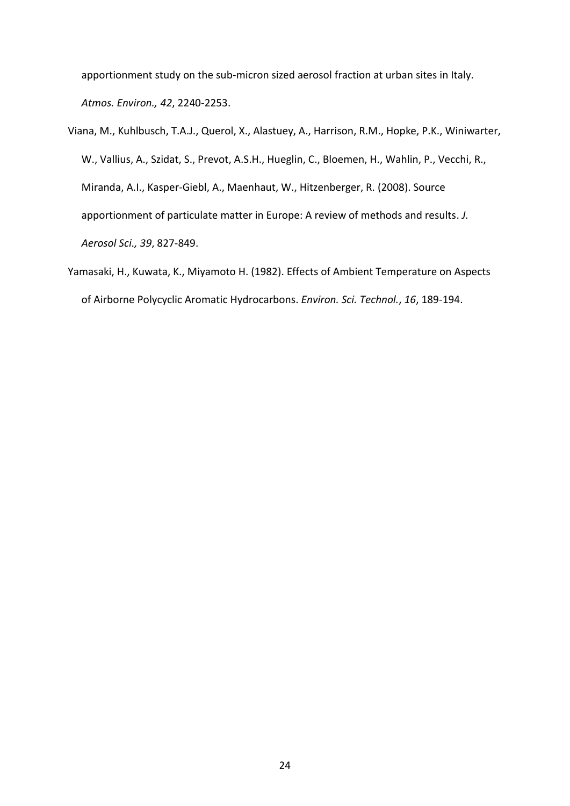apportionment study on the sub-micron sized aerosol fraction at urban sites in Italy. *Atmos. Environ., 42*, 2240-2253.

- Viana, M., Kuhlbusch, T.A.J., Querol, X., Alastuey, A., Harrison, R.M., Hopke, P.K., Winiwarter, W., Vallius, A., Szidat, S., Prevot, A.S.H., Hueglin, C., Bloemen, H., Wahlin, P., Vecchi, R., Miranda, A.I., Kasper-Giebl, A., Maenhaut, W., Hitzenberger, R. (2008). Source apportionment of particulate matter in Europe: A review of methods and results. *J. Aerosol Sci., 39*, 827-849.
- Yamasaki, H., Kuwata, K., Miyamoto H. (1982). Effects of Ambient Temperature on Aspects of Airborne Polycyclic Aromatic Hydrocarbons. *Environ. Sci. Technol.*, *16*, 189-194.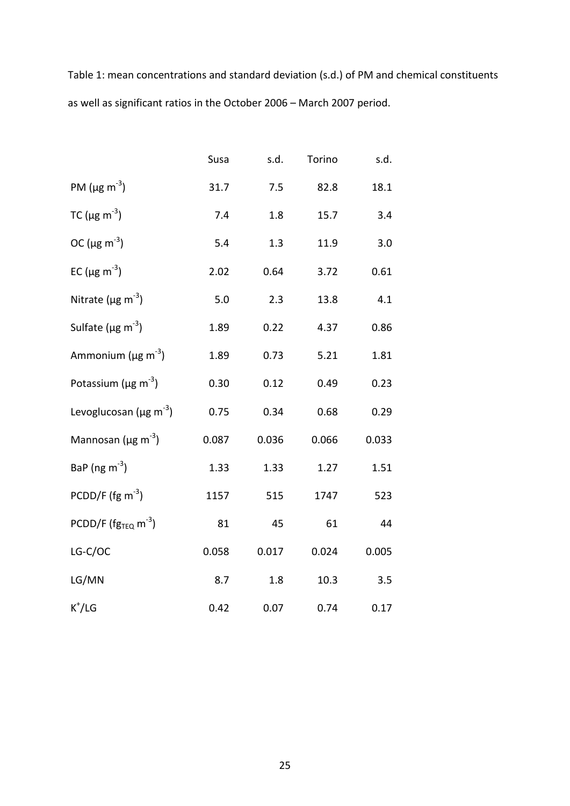Table 1: mean concentrations and standard deviation (s.d.) of PM and chemical constituents as well as significant ratios in the October 2006 – March 2007 period.

|                                          | Susa  | s.d.  | Torino | s.d.  |
|------------------------------------------|-------|-------|--------|-------|
| PM ( $\mu$ g m <sup>-3</sup> )           | 31.7  | 7.5   | 82.8   | 18.1  |
| TC ( $\mu$ g m <sup>-3</sup> )           | 7.4   | 1.8   | 15.7   | 3.4   |
| OC ( $\mu$ g m <sup>-3</sup> )           | 5.4   | 1.3   | 11.9   | 3.0   |
| EC ( $\mu$ g m <sup>-3</sup> )           | 2.02  | 0.64  | 3.72   | 0.61  |
| Nitrate ( $\mu$ g m <sup>-3</sup> )      | 5.0   | 2.3   | 13.8   | 4.1   |
| Sulfate ( $\mu$ g m <sup>-3</sup> )      | 1.89  | 0.22  | 4.37   | 0.86  |
| Ammonium ( $\mu$ g m <sup>-3</sup> )     | 1.89  | 0.73  | 5.21   | 1.81  |
| Potassium ( $\mu$ g m <sup>-3</sup> )    | 0.30  | 0.12  | 0.49   | 0.23  |
| Levoglucosan ( $\mu$ g m <sup>-3</sup> ) | 0.75  | 0.34  | 0.68   | 0.29  |
| Mannosan ( $\mu$ g m <sup>-3</sup> )     | 0.087 | 0.036 | 0.066  | 0.033 |
| BaP (ng $m^{-3}$ )                       | 1.33  | 1.33  | 1.27   | 1.51  |
| PCDD/F ( $fg \text{ m}^{-3}$ )           | 1157  | 515   | 1747   | 523   |
| PCDD/F ( $fg_{TEQ}$ m <sup>-3</sup> )    | 81    | 45    | 61     | 44    |
| LG-C/OC                                  | 0.058 | 0.017 | 0.024  | 0.005 |
| LG/MN                                    | 8.7   | 1.8   | 10.3   | 3.5   |
| $K^+/LG$                                 | 0.42  | 0.07  | 0.74   | 0.17  |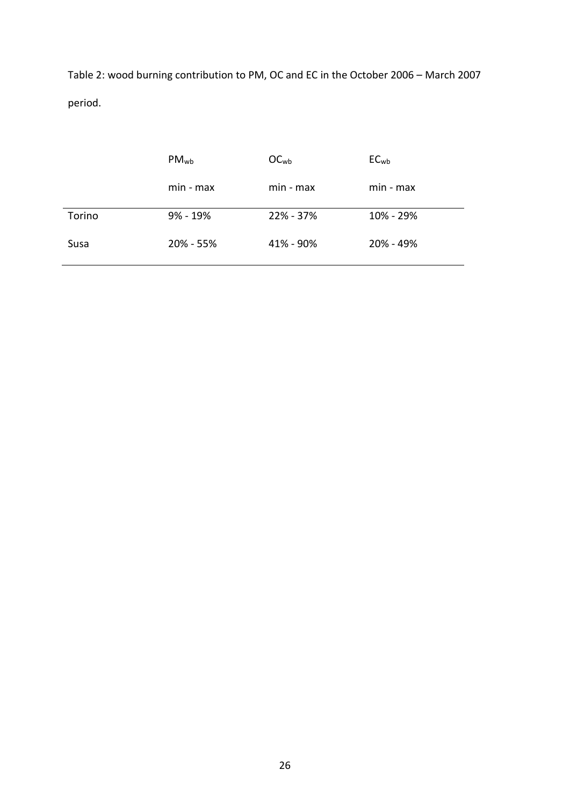Table 2: wood burning contribution to PM, OC and EC in the October 2006 – March 2007 period.

|        | $PM_{wb}$    | OC <sub>wb</sub> | $EC_{wb}$ |
|--------|--------------|------------------|-----------|
|        | min - max    | min - max        | min - max |
| Torino | $9\% - 19\%$ | 22% - 37%        | 10% - 29% |
| Susa   | 20% - 55%    | 41% - 90%        | 20% - 49% |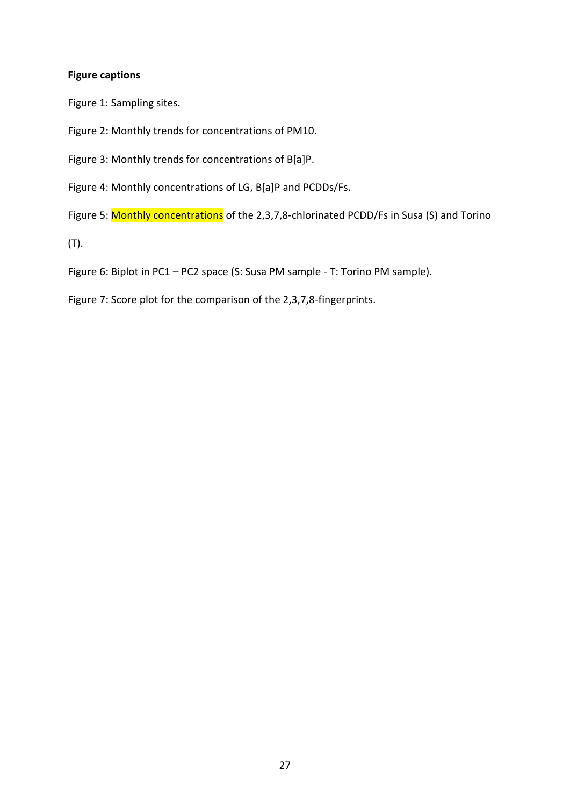# **Figure captions**

Figure 1: Sampling sites.

Figure 2: Monthly trends for concentrations of PM10.

Figure 3: Monthly trends for concentrations of B[a]P.

Figure 4: Monthly concentrations of LG, B[a]P and PCDDs/Fs.

Figure 5: Monthly concentrations of the 2,3,7,8-chlorinated PCDD/Fs in Susa (S) and Torino

(T).

Figure 6: Biplot in PC1 – PC2 space (S: Susa PM sample - T: Torino PM sample).

Figure 7: Score plot for the comparison of the 2,3,7,8-fingerprints.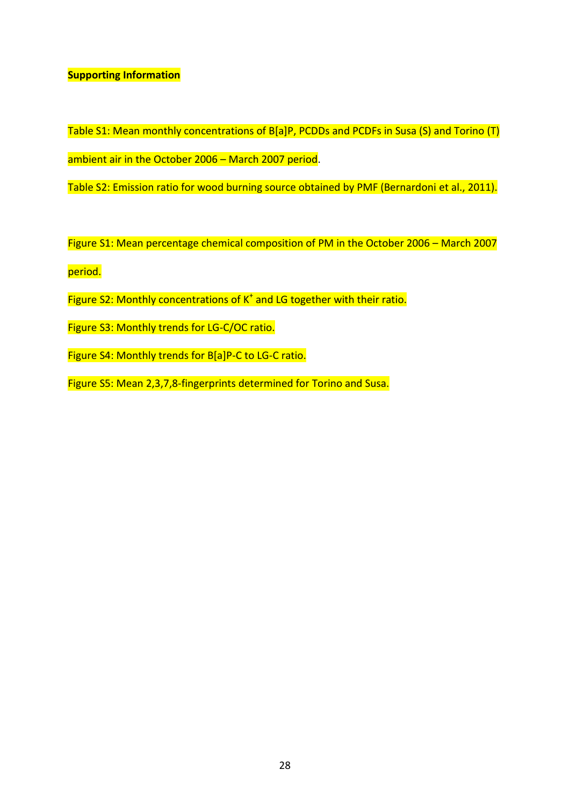# **Supporting Information**

Table S1: Mean monthly concentrations of B[a]P, PCDDs and PCDFs in Susa (S) and Torino (T) ambient air in the October 2006 - March 2007 period.

Table S2: Emission ratio for wood burning source obtained by PMF (Bernardoni et al., 2011).

Figure S1: Mean percentage chemical composition of PM in the October 2006 – March 2007

period.

- Figure S2: Monthly concentrations of  $K^*$  and LG together with their ratio.
- Figure S3: Monthly trends for LG-C/OC ratio.
- Figure S4: Monthly trends for B[a]P-C to LG-C ratio.

Figure S5: Mean 2,3,7,8-fingerprints determined for Torino and Susa.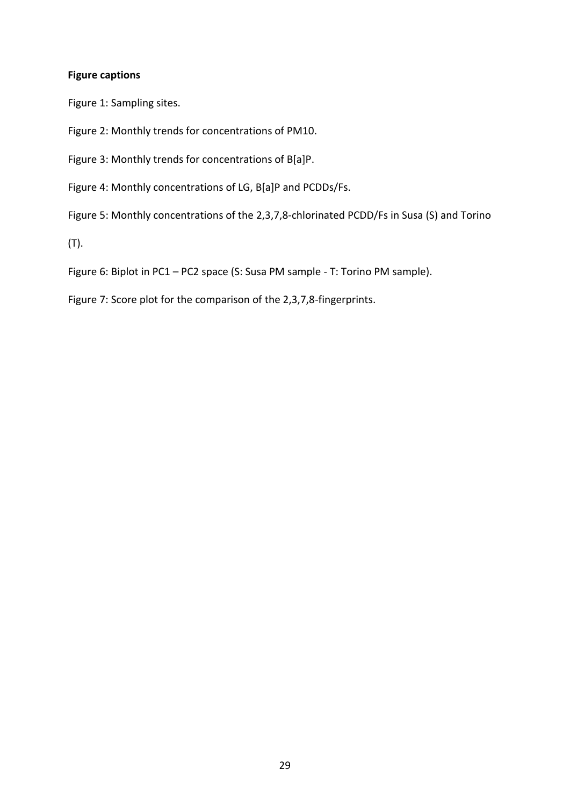# **Figure captions**

Figure 1: Sampling sites.

Figure 2: Monthly trends for concentrations of PM10.

Figure 3: Monthly trends for concentrations of B[a]P.

Figure 4: Monthly concentrations of LG, B[a]P and PCDDs/Fs.

Figure 5: Monthly concentrations of the 2,3,7,8-chlorinated PCDD/Fs in Susa (S) and Torino

(T).

Figure 6: Biplot in PC1 – PC2 space (S: Susa PM sample - T: Torino PM sample).

Figure 7: Score plot for the comparison of the 2,3,7,8-fingerprints.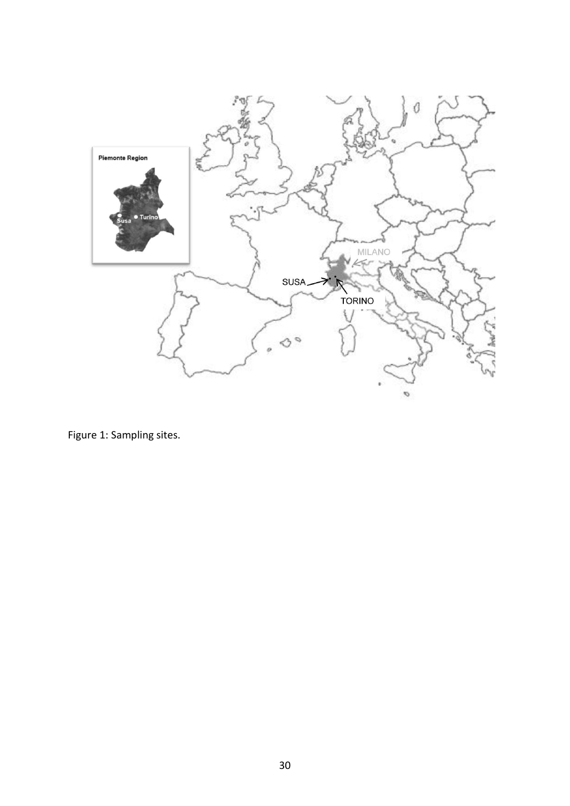

Figure 1: Sampling sites.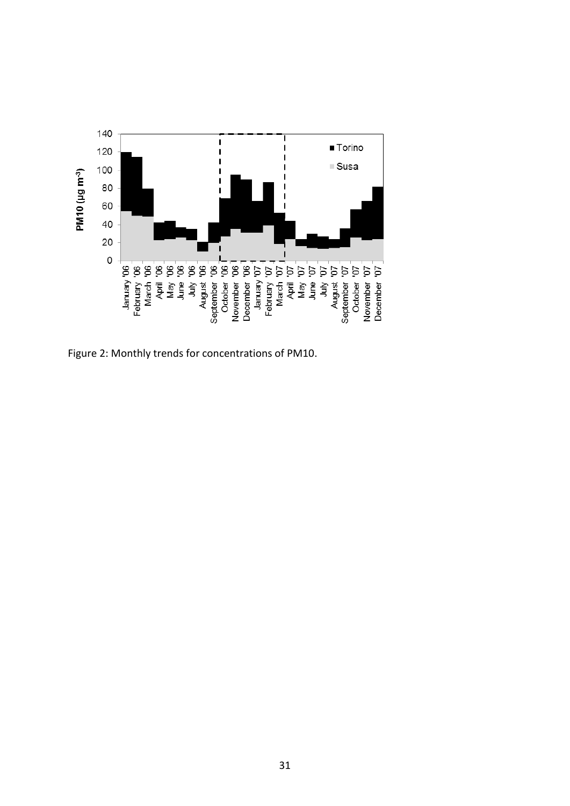

Figure 2: Monthly trends for concentrations of PM10.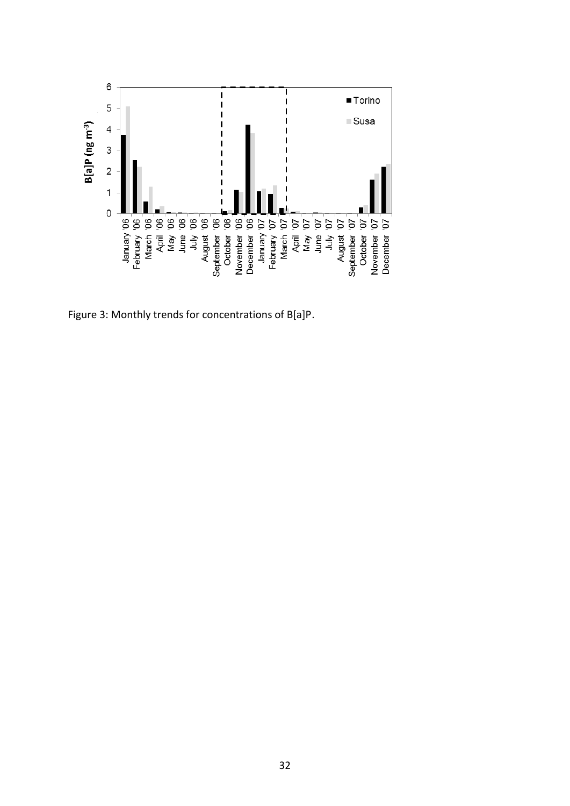

Figure 3: Monthly trends for concentrations of B[a]P.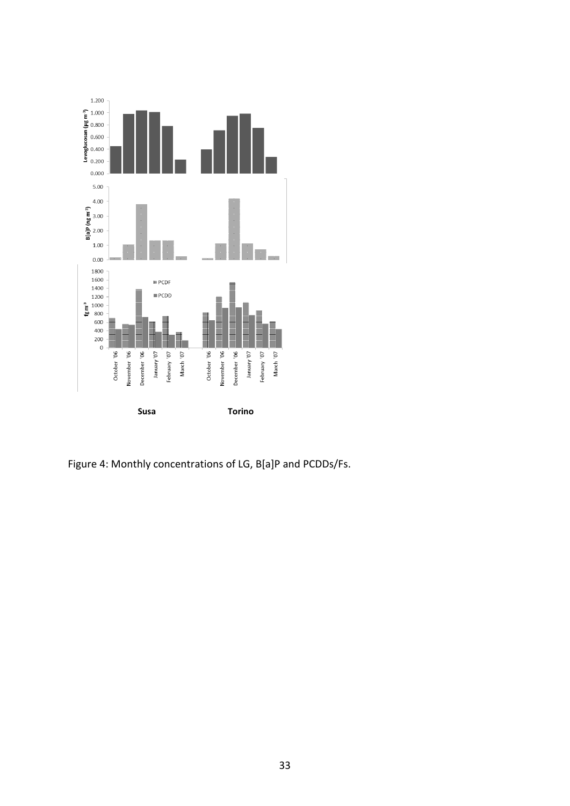

Figure 4: Monthly concentrations of LG, B[a]P and PCDDs/Fs.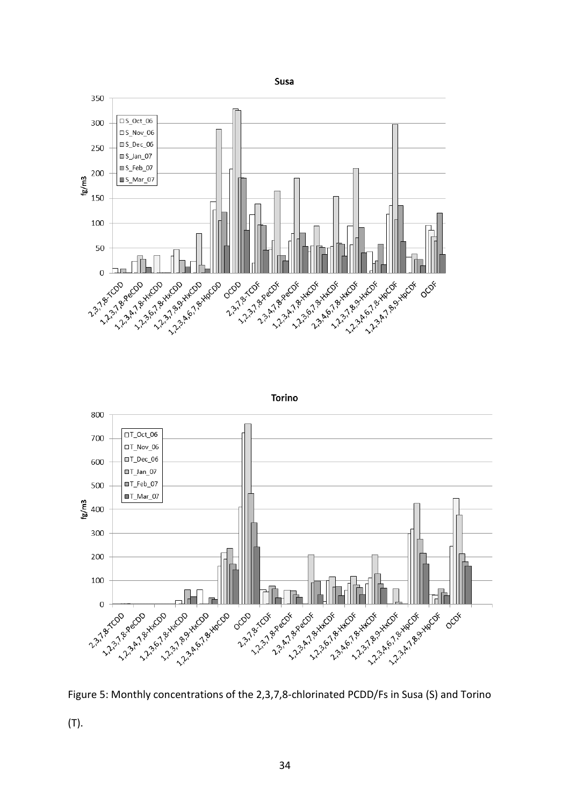





(T).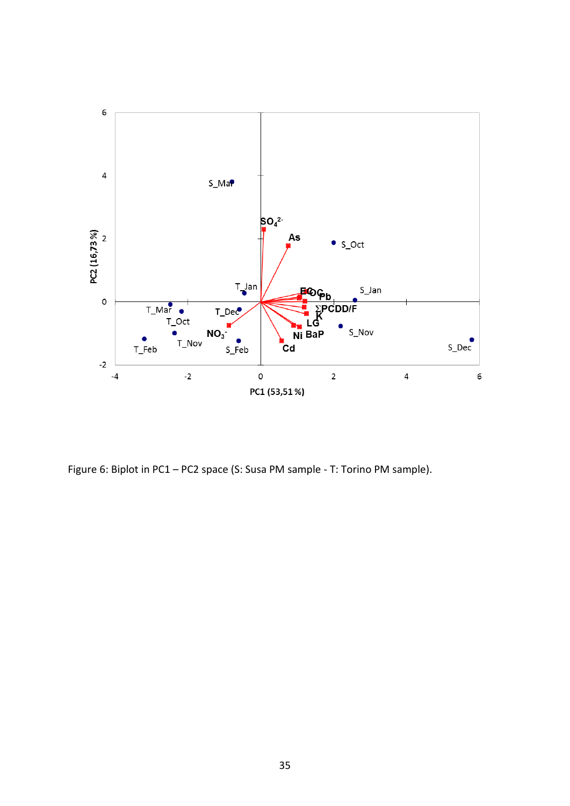

Figure 6: Biplot in PC1 – PC2 space (S: Susa PM sample - T: Torino PM sample).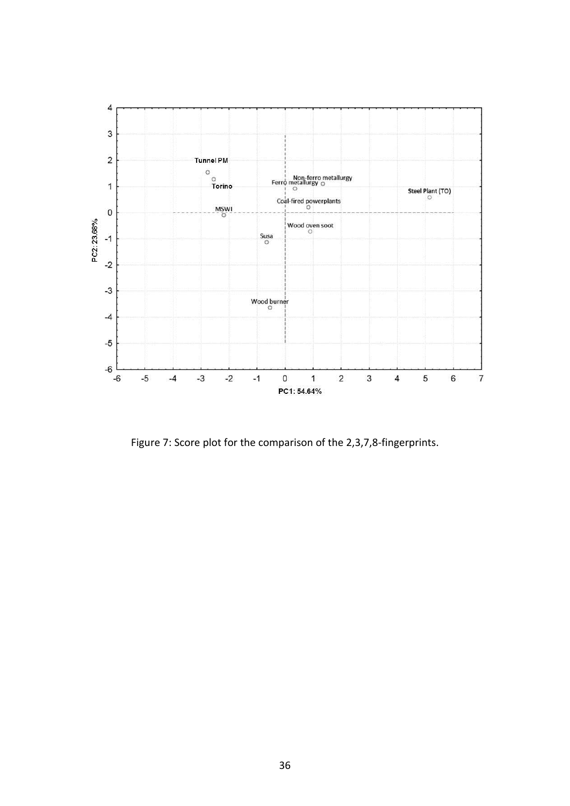

Figure 7: Score plot for the comparison of the 2,3,7,8-fingerprints.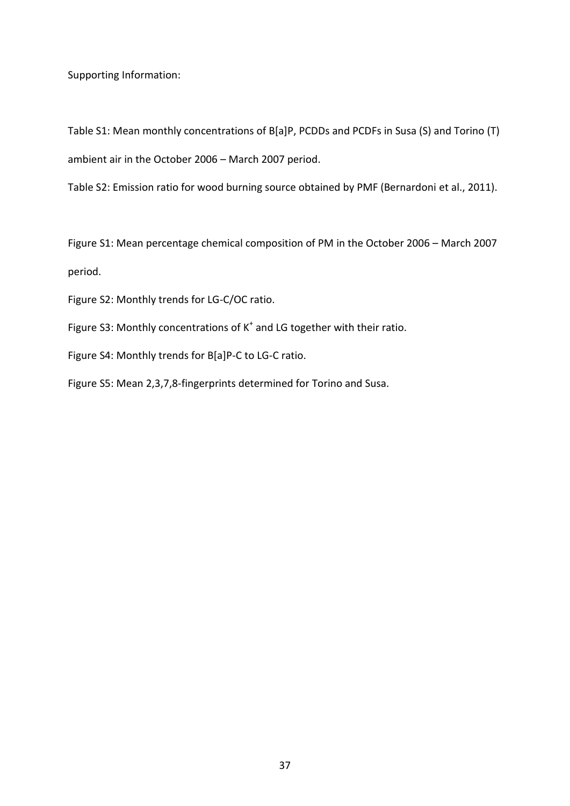Supporting Information:

Table S1: Mean monthly concentrations of B[a]P, PCDDs and PCDFs in Susa (S) and Torino (T) ambient air in the October 2006 – March 2007 period.

Table S2: Emission ratio for wood burning source obtained by PMF (Bernardoni et al., 2011).

Figure S1: Mean percentage chemical composition of PM in the October 2006 – March 2007 period.

Figure S2: Monthly trends for LG-C/OC ratio.

Figure S3: Monthly concentrations of  $K^*$  and LG together with their ratio.

Figure S4: Monthly trends for B[a]P-C to LG-C ratio.

Figure S5: Mean 2,3,7,8-fingerprints determined for Torino and Susa.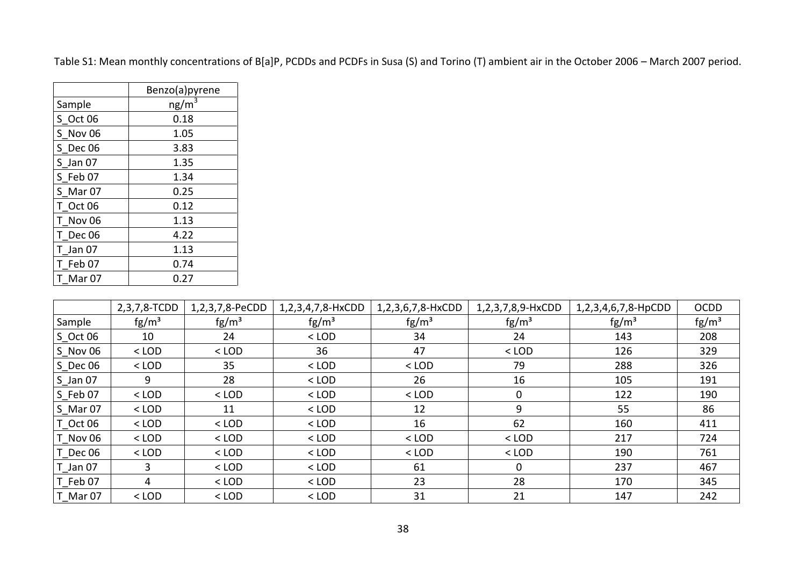| Table S1: Mean monthly concentrations of B[a]P, PCDDs and PCDFs in Susa (S) and Torino (T) ambient air in the October 2006 - March 2007 period. |  |  |  |
|-------------------------------------------------------------------------------------------------------------------------------------------------|--|--|--|
|-------------------------------------------------------------------------------------------------------------------------------------------------|--|--|--|

|                   | Benzo(a)pyrene    |
|-------------------|-------------------|
| Sample            | ng/m <sup>3</sup> |
| S Oct 06          | 0.18              |
| S Nov 06          | 1.05              |
| S Dec 06          | 3.83              |
| $S$ Jan $07$      | 1.35              |
| S Feb 07          | 1.34              |
| S Mar 07          | 0.25              |
| T Oct 06          | 0.12              |
| T Nov 06          | 1.13              |
| T Dec 06          | 4.22              |
| T Jan 07          | 1.13              |
| TFeb07            | 0.74              |
| Mar <sub>07</sub> | 0.27              |

|                       | 2,3,7,8-TCDD    | 1,2,3,7,8-PeCDD | 1,2,3,4,7,8-HxCDD | 1,2,3,6,7,8-HxCDD | 1,2,3,7,8,9-HxCDD | 1,2,3,4,6,7,8-HpCDD | <b>OCDD</b>     |
|-----------------------|-----------------|-----------------|-------------------|-------------------|-------------------|---------------------|-----------------|
| Sample                | $\text{fg/m}^3$ | $\text{fg/m}^3$ | $\text{fg/m}^3$   | $\text{fg/m}^3$   | $\text{fg/m}^3$   | $\text{fg/m}^3$     | $\text{fg/m}^3$ |
| $S$ <sup>Oct</sup> 06 | 10              | 24              | $<$ LOD           | 34                | 24                | 143                 | 208             |
| S Nov 06              | $<$ LOD         | $<$ LOD         | 36                | 47                | $<$ LOD           | 126                 | 329             |
| $S$ Dec 06            | $<$ LOD         | 35              | $<$ LOD           | $<$ LOD           | 79                | 288                 | 326             |
| $S_$ Jan 07           | 9               | 28              | $<$ LOD           | 26                | 16                | 105                 | 191             |
| S Feb 07              | $<$ LOD         | $<$ LOD         | $<$ LOD           | $<$ LOD           | $\mathbf{0}$      | 122                 | 190             |
| S_Mar 07              | $<$ LOD         | 11              | $<$ LOD           | 12                | 9                 | 55                  | 86              |
| T_Oct 06              | $<$ LOD         | $<$ LOD         | $<$ LOD           | 16                | 62                | 160                 | 411             |
| T Nov 06              | $<$ LOD         | $<$ LOD         | $<$ LOD           | $<$ LOD           | $<$ LOD           | 217                 | 724             |
| T Dec 06              | $<$ LOD         | $<$ LOD         | $<$ LOD           | $<$ LOD           | $<$ LOD           | 190                 | 761             |
| T_Jan 07              | 3               | $<$ LOD         | $<$ LOD           | 61                | $\mathbf 0$       | 237                 | 467             |
| T Feb 07              | 4               | $<$ LOD         | $<$ LOD           | 23                | 28                | 170                 | 345             |
| T_Mar 07              | $<$ LOD         | $<$ LOD         | $<$ LOD           | 31                | 21                | 147                 | 242             |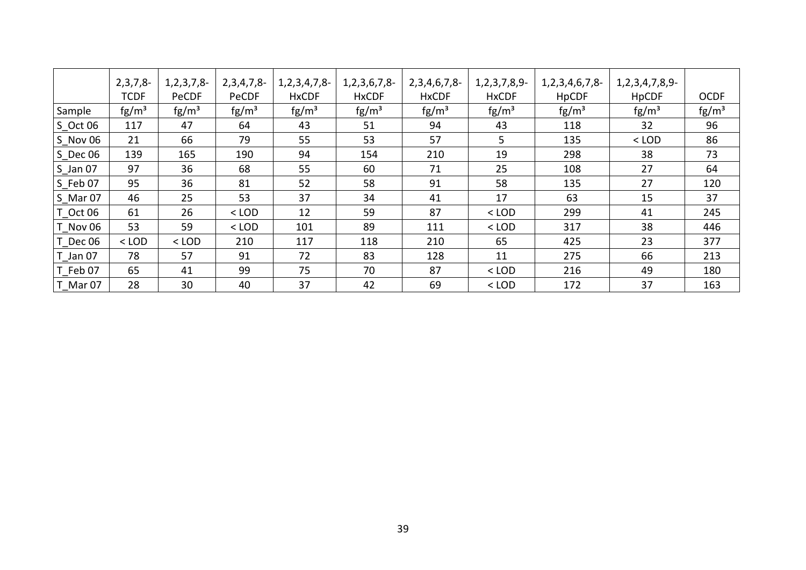|               | $2,3,7,8-$<br><b>TCDF</b> | 1, 2, 3, 7, 8<br>PeCDF | 2,3,4,7,8<br>PeCDF | 1, 2, 3, 4, 7, 8<br><b>HxCDF</b> | 1, 2, 3, 6, 7, 8-<br><b>HxCDF</b> | 2,3,4,6,7,8<br><b>HxCDF</b> | 1, 2, 3, 7, 8, 9<br><b>HxCDF</b> | 1, 2, 3, 4, 6, 7, 8-<br><b>HpCDF</b> | 1, 2, 3, 4, 7, 8, 9-<br><b>HpCDF</b> | <b>OCDF</b>     |
|---------------|---------------------------|------------------------|--------------------|----------------------------------|-----------------------------------|-----------------------------|----------------------------------|--------------------------------------|--------------------------------------|-----------------|
| <b>Sample</b> | $\text{fg/m}^3$           | $\text{fg/m}^3$        | $\text{fg/m}^3$    | $\text{fg/m}^3$                  | $\text{fg/m}^3$                   | $\text{fg/m}^3$             | $\text{fg/m}^3$                  | $\text{fg/m}^3$                      | $\text{fg/m}^3$                      | $\text{fg/m}^3$ |
| $S$ Oct 06    | 117                       | 47                     | 64                 | 43                               | 51                                | 94                          | 43                               | 118                                  | 32                                   | 96              |
| $S$ Nov 06    | 21                        | 66                     | 79                 | 55                               | 53                                | 57                          | 5.                               | 135                                  | $<$ LOD                              | 86              |
| $S$ Dec 06    | 139                       | 165                    | 190                | 94                               | 154                               | 210                         | 19                               | 298                                  | 38                                   | 73              |
| $S_$ Jan 07   | 97                        | 36                     | 68                 | 55                               | 60                                | 71                          | 25                               | 108                                  | 27                                   | 64              |
| $S$ Feb 07    | 95                        | 36                     | 81                 | 52                               | 58                                | 91                          | 58                               | 135                                  | 27                                   | 120             |
| $S$ Mar 07    | 46                        | 25                     | 53                 | 37                               | 34                                | 41                          | 17                               | 63                                   | 15                                   | 37              |
| T Oct 06      | 61                        | 26                     | $<$ LOD            | 12                               | 59                                | 87                          | $<$ LOD                          | 299                                  | 41                                   | 245             |
| T Nov 06      | 53                        | 59                     | $<$ LOD            | 101                              | 89                                | 111                         | $<$ LOD                          | 317                                  | 38                                   | 446             |
| T Dec 06      | $<$ LOD                   | $<$ LOD                | 210                | 117                              | 118                               | 210                         | 65                               | 425                                  | 23                                   | 377             |
| $T$ _Jan 07   | 78                        | 57                     | 91                 | 72                               | 83                                | 128                         | 11                               | 275                                  | 66                                   | 213             |
| T Feb 07      | 65                        | 41                     | 99                 | 75                               | 70                                | 87                          | $<$ LOD                          | 216                                  | 49                                   | 180             |
| T Mar 07      | 28                        | 30                     | 40                 | 37                               | 42                                | 69                          | $<$ LOD                          | 172                                  | 37                                   | 163             |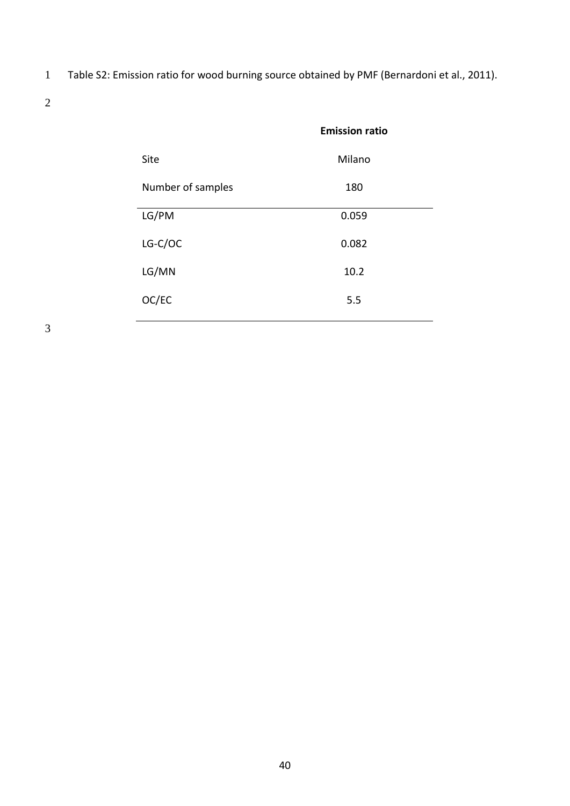1 Table S2: Emission ratio for wood burning source obtained by PMF (Bernardoni et al., 2011).

2

|                   | <b>Emission ratio</b> |
|-------------------|-----------------------|
| Site              | Milano                |
| Number of samples | 180                   |
| LG/PM             | 0.059                 |
| LG-C/OC           | 0.082                 |
| LG/MN             | 10.2                  |
| OC/EC             | 5.5                   |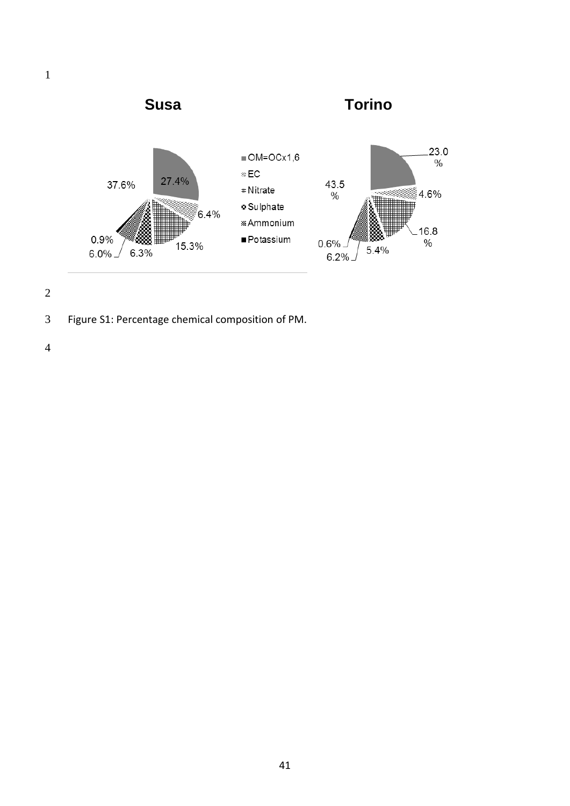



Figure S1: Percentage chemical composition of PM.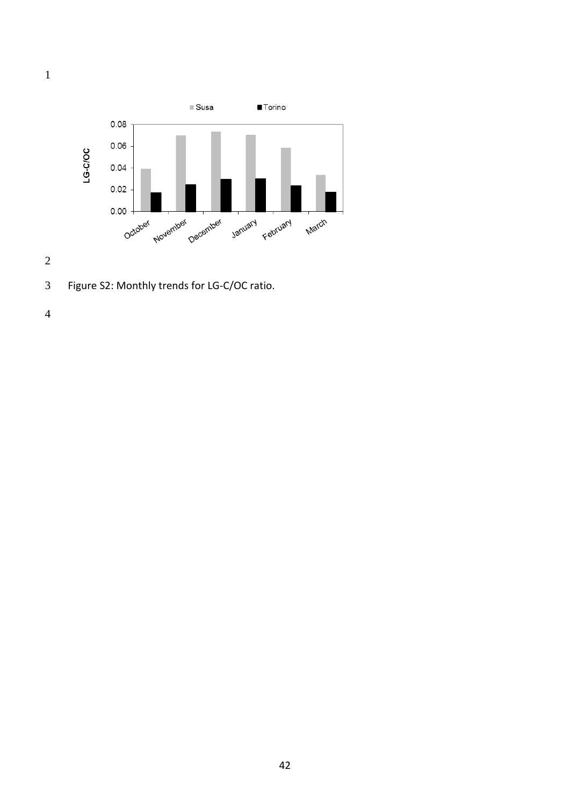

Figure S2: Monthly trends for LG-C/OC ratio.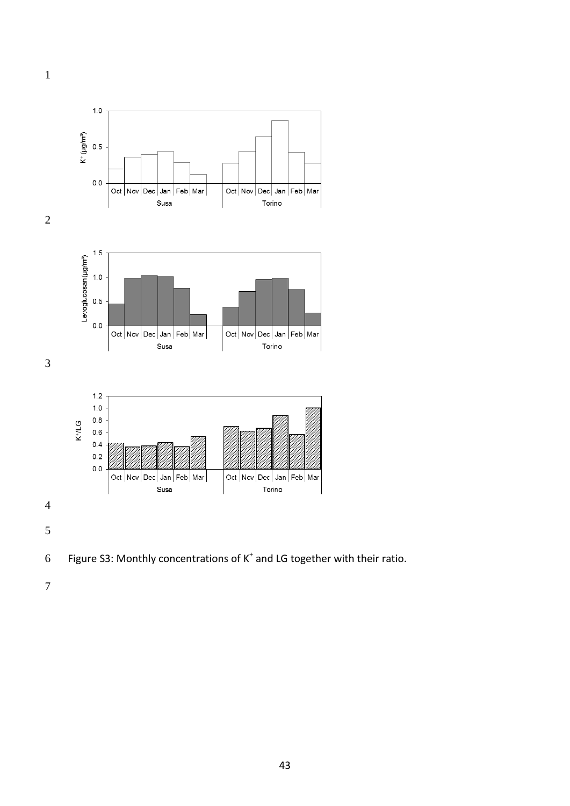



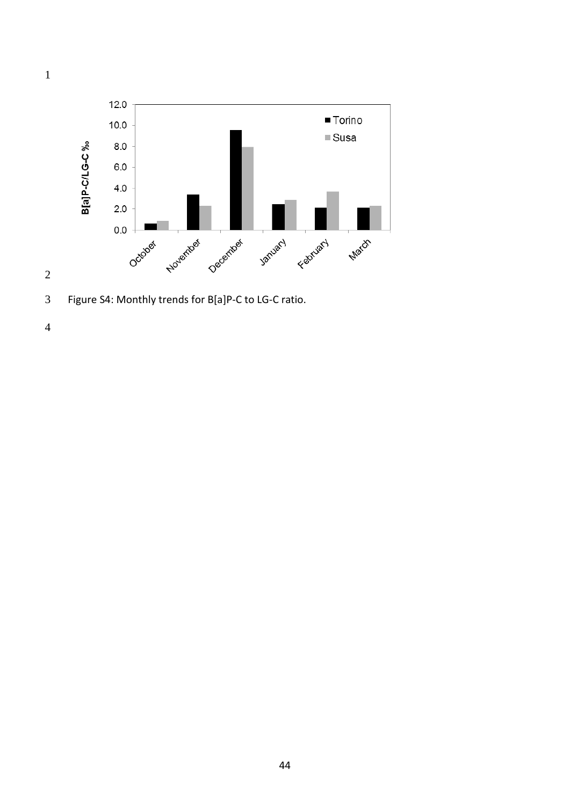

Figure S4: Monthly trends for B[a]P-C to LG-C ratio.